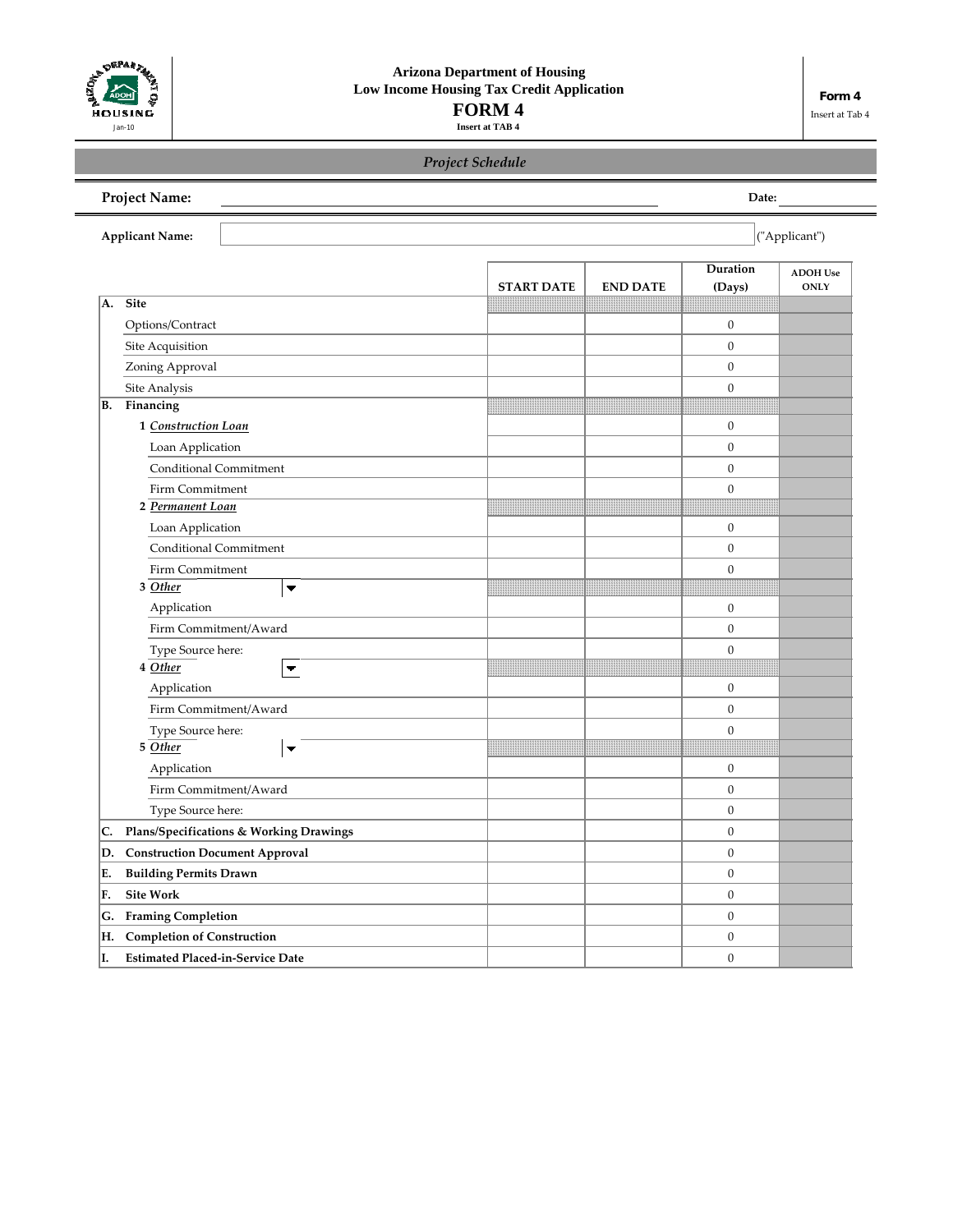

# *Project Schedule*

| <b>Project Name:</b>                          |                   |                 | Date:              |                         |  |  |  |
|-----------------------------------------------|-------------------|-----------------|--------------------|-------------------------|--|--|--|
| ("Applicant")<br><b>Applicant Name:</b>       |                   |                 |                    |                         |  |  |  |
|                                               | <b>START DATE</b> | <b>END DATE</b> | Duration<br>(Days) | <b>ADOH</b> Use<br>ONLY |  |  |  |
| <b>Site</b><br>A.                             |                   |                 |                    |                         |  |  |  |
| Options/Contract                              |                   |                 | $\boldsymbol{0}$   |                         |  |  |  |
| Site Acquisition                              |                   |                 | $\overline{0}$     |                         |  |  |  |
| Zoning Approval                               |                   |                 | $\boldsymbol{0}$   |                         |  |  |  |
| Site Analysis                                 |                   |                 | $\boldsymbol{0}$   |                         |  |  |  |
| Financing<br>В.                               |                   |                 |                    |                         |  |  |  |
| 1 Construction Loan                           |                   |                 | $\boldsymbol{0}$   |                         |  |  |  |
| Loan Application                              |                   |                 | $\boldsymbol{0}$   |                         |  |  |  |
| Conditional Commitment                        |                   |                 | $\boldsymbol{0}$   |                         |  |  |  |
| Firm Commitment                               |                   |                 | $\boldsymbol{0}$   |                         |  |  |  |
| 2 Permanent Loan                              |                   |                 |                    |                         |  |  |  |
| Loan Application                              |                   |                 | $\boldsymbol{0}$   |                         |  |  |  |
| Conditional Commitment                        |                   |                 | $\overline{0}$     |                         |  |  |  |
| Firm Commitment                               |                   |                 | $\boldsymbol{0}$   |                         |  |  |  |
| 3 Other                                       |                   |                 |                    |                         |  |  |  |
| Application                                   |                   |                 | $\boldsymbol{0}$   |                         |  |  |  |
| Firm Commitment/Award                         |                   |                 | $\boldsymbol{0}$   |                         |  |  |  |
| Type Source here:                             |                   |                 | $\boldsymbol{0}$   |                         |  |  |  |
| $4$ Other                                     |                   |                 |                    |                         |  |  |  |
| Application                                   |                   |                 | $\mathbf{0}$       |                         |  |  |  |
| Firm Commitment/Award                         |                   |                 | $\boldsymbol{0}$   |                         |  |  |  |
| Type Source here:<br>5 Other                  |                   |                 | $\boldsymbol{0}$   |                         |  |  |  |
| ▼                                             |                   |                 |                    |                         |  |  |  |
| Application                                   |                   |                 | $\boldsymbol{0}$   |                         |  |  |  |
| Firm Commitment/Award                         |                   |                 | $\boldsymbol{0}$   |                         |  |  |  |
| Type Source here:                             |                   |                 | $\boldsymbol{0}$   |                         |  |  |  |
| Plans/Specifications & Working Drawings<br>C. |                   |                 | $\boldsymbol{0}$   |                         |  |  |  |
| D.<br><b>Construction Document Approval</b>   |                   |                 | $\boldsymbol{0}$   |                         |  |  |  |
| Е.<br><b>Building Permits Drawn</b>           |                   |                 | $\boldsymbol{0}$   |                         |  |  |  |
| F.<br><b>Site Work</b>                        |                   |                 | $\boldsymbol{0}$   |                         |  |  |  |
| <b>Framing Completion</b><br>G.               |                   |                 | $\boldsymbol{0}$   |                         |  |  |  |
| <b>Completion of Construction</b><br>Н.       |                   |                 | $\boldsymbol{0}$   |                         |  |  |  |
| I.<br><b>Estimated Placed-in-Service Date</b> |                   |                 | $\boldsymbol{0}$   |                         |  |  |  |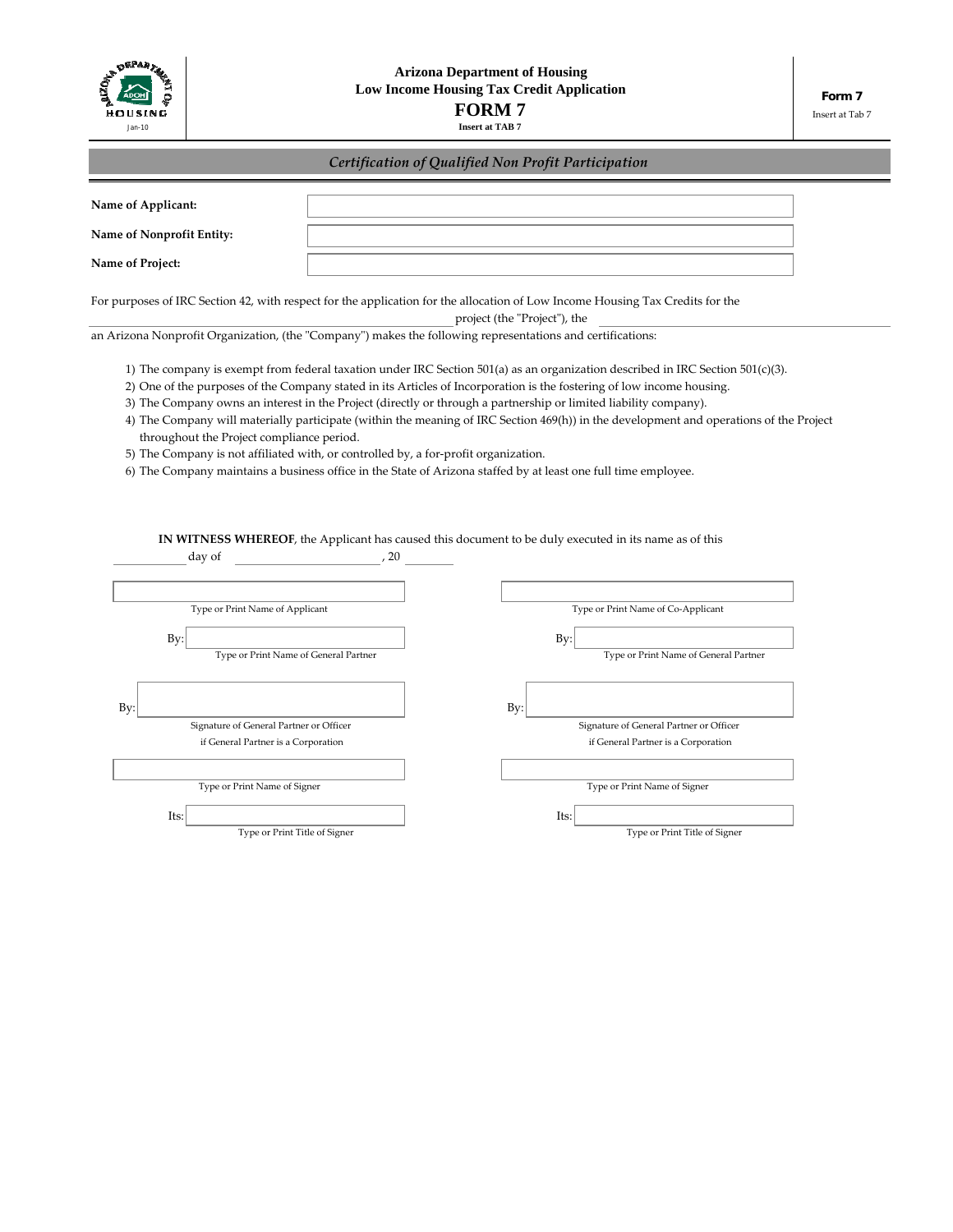

# *Certification of Qualified Non Profit Participation*

| Name of Applicant:                                                                                         |                                                                                     |                                                                                                                                                                                                                                                                                                                                                                                                                                                                                                                                                                                                                                         |
|------------------------------------------------------------------------------------------------------------|-------------------------------------------------------------------------------------|-----------------------------------------------------------------------------------------------------------------------------------------------------------------------------------------------------------------------------------------------------------------------------------------------------------------------------------------------------------------------------------------------------------------------------------------------------------------------------------------------------------------------------------------------------------------------------------------------------------------------------------------|
| Name of Nonprofit Entity:                                                                                  |                                                                                     |                                                                                                                                                                                                                                                                                                                                                                                                                                                                                                                                                                                                                                         |
| Name of Project:                                                                                           |                                                                                     |                                                                                                                                                                                                                                                                                                                                                                                                                                                                                                                                                                                                                                         |
|                                                                                                            |                                                                                     | For purposes of IRC Section 42, with respect for the application for the allocation of Low Income Housing Tax Credits for the<br>project (the "Project"), the                                                                                                                                                                                                                                                                                                                                                                                                                                                                           |
| an Arizona Nonprofit Organization, (the "Company") makes the following representations and certifications: |                                                                                     |                                                                                                                                                                                                                                                                                                                                                                                                                                                                                                                                                                                                                                         |
| throughout the Project compliance period.                                                                  | 5) The Company is not affiliated with, or controlled by, a for-profit organization. | 1) The company is exempt from federal taxation under IRC Section 501(a) as an organization described in IRC Section 501(c)(3).<br>2) One of the purposes of the Company stated in its Articles of Incorporation is the fostering of low income housing.<br>3) The Company owns an interest in the Project (directly or through a partnership or limited liability company).<br>4) The Company will materially participate (within the meaning of IRC Section 469(h)) in the development and operations of the Project<br>6) The Company maintains a business office in the State of Arizona staffed by at least one full time employee. |
| day of                                                                                                     | , 20                                                                                | IN WITNESS WHEREOF, the Applicant has caused this document to be duly executed in its name as of this                                                                                                                                                                                                                                                                                                                                                                                                                                                                                                                                   |
| Type or Print Name of Applicant                                                                            |                                                                                     | Type or Print Name of Co-Applicant                                                                                                                                                                                                                                                                                                                                                                                                                                                                                                                                                                                                      |
| By:<br>Type or Print Name of General Partner                                                               |                                                                                     | By:<br>Type or Print Name of General Partner                                                                                                                                                                                                                                                                                                                                                                                                                                                                                                                                                                                            |
| By                                                                                                         |                                                                                     | By:                                                                                                                                                                                                                                                                                                                                                                                                                                                                                                                                                                                                                                     |
| Signature of General Partner or Officer                                                                    |                                                                                     | Signature of General Partner or Officer                                                                                                                                                                                                                                                                                                                                                                                                                                                                                                                                                                                                 |
| if General Partner is a Corporation                                                                        |                                                                                     | if General Partner is a Corporation                                                                                                                                                                                                                                                                                                                                                                                                                                                                                                                                                                                                     |
| Type or Print Name of Signer                                                                               |                                                                                     | Type or Print Name of Signer                                                                                                                                                                                                                                                                                                                                                                                                                                                                                                                                                                                                            |
| Its:                                                                                                       |                                                                                     | Its:                                                                                                                                                                                                                                                                                                                                                                                                                                                                                                                                                                                                                                    |
| Type or Print Title of Signer                                                                              |                                                                                     | Type or Print Title of Signer                                                                                                                                                                                                                                                                                                                                                                                                                                                                                                                                                                                                           |
|                                                                                                            |                                                                                     |                                                                                                                                                                                                                                                                                                                                                                                                                                                                                                                                                                                                                                         |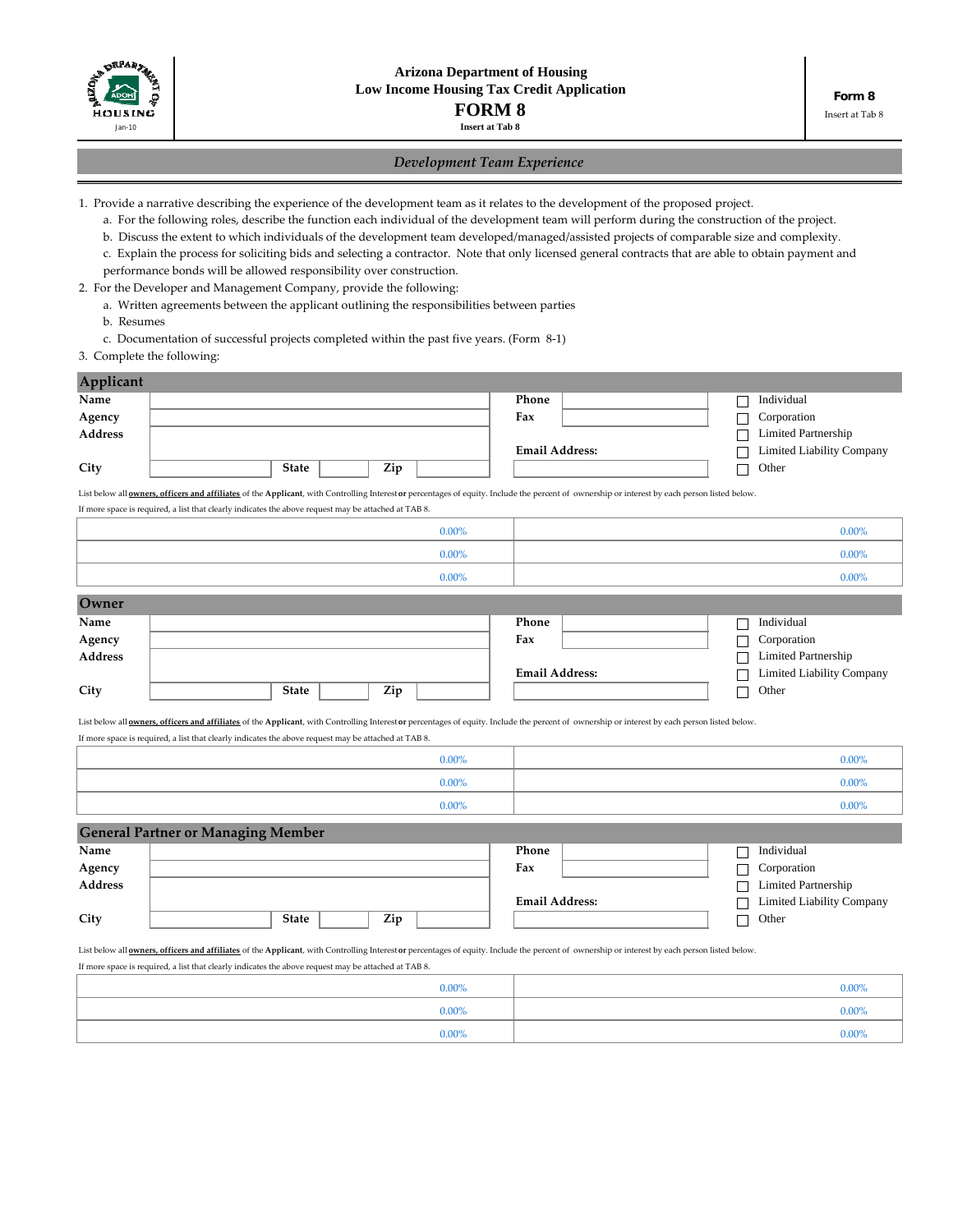

# *Development Team Experience*

1. Provide a narrative describing the experience of the development team as it relates to the development of the proposed project.

a. For the following roles, describe the function each individual of the development team will perform during the construction of the project.

b. Discuss the extent to which individuals of the development team developed/managed/assisted projects of comparable size and complexity.

c. Explain the process for soliciting bids and selecting a contractor. Note that only licensed general contracts that are able to obtain payment and

performance bonds will be allowed responsibility over construction.

- 2. For the Developer and Management Company, provide the following:
	- a. Written agreements between the applicant outlining the responsibilities between parties

b. Resumes

c. Documentation of successful projects completed within the past five years. (Form 8‐1)

## 3. Complete the following:

|              |                                           |          | Phone                                                                                                                                                                                                        |                                                                         | Individual                                                                                                                                                                                                                                                                                                                                                                                                       |
|--------------|-------------------------------------------|----------|--------------------------------------------------------------------------------------------------------------------------------------------------------------------------------------------------------------|-------------------------------------------------------------------------|------------------------------------------------------------------------------------------------------------------------------------------------------------------------------------------------------------------------------------------------------------------------------------------------------------------------------------------------------------------------------------------------------------------|
|              |                                           |          | Fax                                                                                                                                                                                                          |                                                                         | Corporation                                                                                                                                                                                                                                                                                                                                                                                                      |
|              |                                           |          |                                                                                                                                                                                                              |                                                                         | <b>Limited Partnership</b>                                                                                                                                                                                                                                                                                                                                                                                       |
|              |                                           |          |                                                                                                                                                                                                              |                                                                         | <b>Limited Liability Company</b>                                                                                                                                                                                                                                                                                                                                                                                 |
| <b>State</b> | Zip                                       |          |                                                                                                                                                                                                              |                                                                         | Other                                                                                                                                                                                                                                                                                                                                                                                                            |
|              |                                           |          |                                                                                                                                                                                                              |                                                                         |                                                                                                                                                                                                                                                                                                                                                                                                                  |
|              |                                           |          |                                                                                                                                                                                                              |                                                                         |                                                                                                                                                                                                                                                                                                                                                                                                                  |
|              |                                           | $0.00\%$ |                                                                                                                                                                                                              |                                                                         | $0.00\%$                                                                                                                                                                                                                                                                                                                                                                                                         |
|              |                                           | $0.00\%$ |                                                                                                                                                                                                              |                                                                         | $0.00\%$                                                                                                                                                                                                                                                                                                                                                                                                         |
|              |                                           | $0.00\%$ |                                                                                                                                                                                                              |                                                                         | $0.00\%$                                                                                                                                                                                                                                                                                                                                                                                                         |
|              |                                           |          |                                                                                                                                                                                                              |                                                                         |                                                                                                                                                                                                                                                                                                                                                                                                                  |
|              |                                           |          | Phone                                                                                                                                                                                                        |                                                                         | Individual                                                                                                                                                                                                                                                                                                                                                                                                       |
|              |                                           |          | Fax                                                                                                                                                                                                          |                                                                         | Corporation                                                                                                                                                                                                                                                                                                                                                                                                      |
|              |                                           |          |                                                                                                                                                                                                              |                                                                         | <b>Limited Partnership</b>                                                                                                                                                                                                                                                                                                                                                                                       |
|              |                                           |          |                                                                                                                                                                                                              |                                                                         | <b>Limited Liability Company</b>                                                                                                                                                                                                                                                                                                                                                                                 |
| <b>State</b> | Zip                                       |          |                                                                                                                                                                                                              |                                                                         | Other                                                                                                                                                                                                                                                                                                                                                                                                            |
|              |                                           |          |                                                                                                                                                                                                              |                                                                         |                                                                                                                                                                                                                                                                                                                                                                                                                  |
|              |                                           |          |                                                                                                                                                                                                              |                                                                         |                                                                                                                                                                                                                                                                                                                                                                                                                  |
|              |                                           | $0.00\%$ |                                                                                                                                                                                                              |                                                                         | 0.00%                                                                                                                                                                                                                                                                                                                                                                                                            |
|              |                                           | $0.00\%$ |                                                                                                                                                                                                              |                                                                         | $0.00\%$                                                                                                                                                                                                                                                                                                                                                                                                         |
|              |                                           | $0.00\%$ |                                                                                                                                                                                                              |                                                                         | $0.00\%$                                                                                                                                                                                                                                                                                                                                                                                                         |
|              |                                           |          |                                                                                                                                                                                                              |                                                                         |                                                                                                                                                                                                                                                                                                                                                                                                                  |
|              |                                           |          | Phone                                                                                                                                                                                                        |                                                                         | Individual                                                                                                                                                                                                                                                                                                                                                                                                       |
|              |                                           |          | Fax                                                                                                                                                                                                          |                                                                         | Corporation                                                                                                                                                                                                                                                                                                                                                                                                      |
|              |                                           |          |                                                                                                                                                                                                              |                                                                         | <b>Limited Partnership</b>                                                                                                                                                                                                                                                                                                                                                                                       |
|              |                                           |          |                                                                                                                                                                                                              |                                                                         | Limited Liability Company                                                                                                                                                                                                                                                                                                                                                                                        |
| <b>State</b> | Zip                                       |          |                                                                                                                                                                                                              |                                                                         | Other                                                                                                                                                                                                                                                                                                                                                                                                            |
|              | <b>General Partner or Managing Member</b> |          | If more space is required, a list that clearly indicates the above request may be attached at TAB 8.<br>If more space is required, a list that clearly indicates the above request may be attached at TAB 8. | <b>Email Address:</b><br><b>Email Address:</b><br><b>Email Address:</b> | List below all <b>owners</b> , officers and affiliates of the Applicant, with Controlling Interest or percentages of equity. Include the percent of ownership or interest by each person listed below.<br>List below all <b>owners</b> , officers and affiliates of the Applicant, with Controlling Interest or percentages of equity. Include the percent of ownership or interest by each person listed below. |

List below all **<u>owners, officers and affiliates</u>** of the Applicant, with Controlling Interest or percentages of equity. Include the percent of ownership or interest by each person listed below. If more space is required, a list that clearly indicates the above request may be attached at TAB 8.

| $0.00\%$ | $0.00\%$ |
|----------|----------|
| $0.00\%$ | $0.00\%$ |
| $0.00\%$ | $0.00\%$ |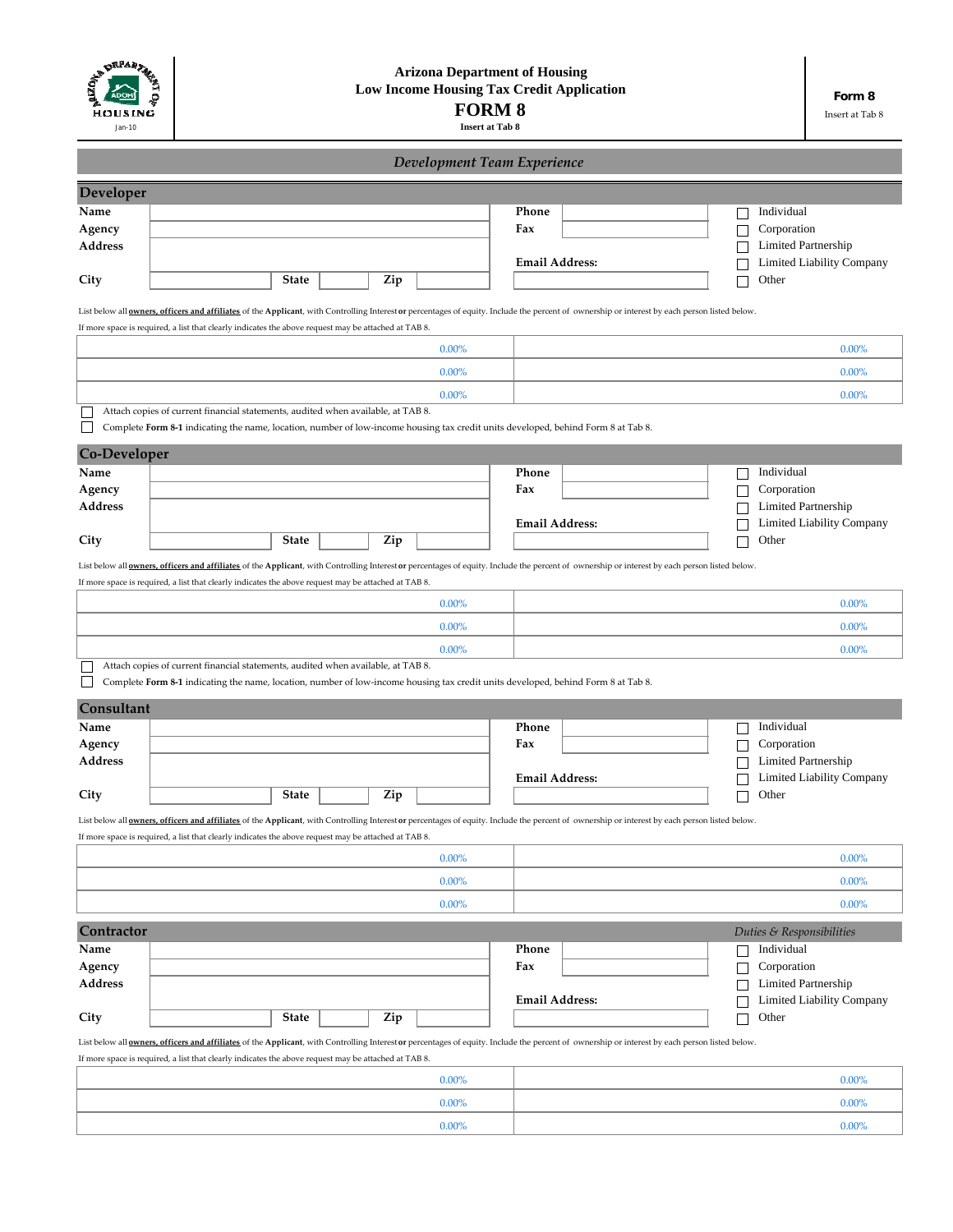| <b>DEPARTMENT</b><br>HOUSING<br>Jan-10 | <b>Arizona Department of Housing</b><br><b>Low Income Housing Tax Credit Application</b><br><b>FORM 8</b><br><b>Insert at Tab 8</b>                                                                                                                                                                            |              |  |     |                             | Form 8<br>Insert at Tab 8 |  |                                           |                                  |
|----------------------------------------|----------------------------------------------------------------------------------------------------------------------------------------------------------------------------------------------------------------------------------------------------------------------------------------------------------------|--------------|--|-----|-----------------------------|---------------------------|--|-------------------------------------------|----------------------------------|
|                                        |                                                                                                                                                                                                                                                                                                                |              |  |     | Development Team Experience |                           |  |                                           |                                  |
| Developer                              |                                                                                                                                                                                                                                                                                                                |              |  |     |                             |                           |  |                                           |                                  |
| Name                                   |                                                                                                                                                                                                                                                                                                                |              |  |     |                             | Phone                     |  | Individual                                |                                  |
| Agency<br><b>Address</b>               |                                                                                                                                                                                                                                                                                                                |              |  |     |                             | Fax                       |  | Corporation<br><b>Limited Partnership</b> |                                  |
|                                        |                                                                                                                                                                                                                                                                                                                |              |  |     |                             | <b>Email Address:</b>     |  |                                           | Limited Liability Company        |
| City                                   |                                                                                                                                                                                                                                                                                                                | <b>State</b> |  | Zip |                             |                           |  | Other                                     |                                  |
|                                        | List below all <b>owners</b> , officers and affiliates of the Applicant, with Controlling Interest or percentages of equity. Include the percent of ownership or interest by each person listed below.                                                                                                         |              |  |     |                             |                           |  |                                           |                                  |
|                                        | If more space is required, a list that clearly indicates the above request may be attached at TAB 8.                                                                                                                                                                                                           |              |  |     |                             |                           |  |                                           |                                  |
|                                        |                                                                                                                                                                                                                                                                                                                |              |  |     | 0.00%                       |                           |  |                                           | 0.00%                            |
|                                        |                                                                                                                                                                                                                                                                                                                |              |  |     | 0.00%                       |                           |  |                                           | 0.00%                            |
|                                        |                                                                                                                                                                                                                                                                                                                |              |  |     | $0.00\%$                    |                           |  |                                           | 0.00%                            |
|                                        | Attach copies of current financial statements, audited when available, at TAB 8.<br>Complete Form 8-1 indicating the name, location, number of low-income housing tax credit units developed, behind Form 8 at Tab 8.                                                                                          |              |  |     |                             |                           |  |                                           |                                  |
| Co-Developer                           |                                                                                                                                                                                                                                                                                                                |              |  |     |                             |                           |  |                                           |                                  |
| Name                                   |                                                                                                                                                                                                                                                                                                                |              |  |     |                             | Phone                     |  | Individual                                |                                  |
| Agency                                 |                                                                                                                                                                                                                                                                                                                |              |  |     |                             | Fax                       |  | Corporation                               |                                  |
| <b>Address</b>                         |                                                                                                                                                                                                                                                                                                                |              |  |     |                             | <b>Email Address:</b>     |  | <b>Limited Partnership</b>                |                                  |
| City                                   |                                                                                                                                                                                                                                                                                                                | <b>State</b> |  | Zip |                             |                           |  | Other                                     | Limited Liability Company        |
|                                        | List below all <b>owners</b> , officers and affiliates of the Applicant, with Controlling Interest or percentages of equity. Include the percent of ownership or interest by each person listed below.                                                                                                         |              |  |     |                             |                           |  |                                           |                                  |
|                                        | If more space is required, a list that clearly indicates the above request may be attached at TAB 8.                                                                                                                                                                                                           |              |  |     |                             |                           |  |                                           |                                  |
|                                        |                                                                                                                                                                                                                                                                                                                |              |  |     | $0.00\%$                    |                           |  |                                           | 0.00%                            |
|                                        |                                                                                                                                                                                                                                                                                                                |              |  |     | 0.00%                       |                           |  |                                           | 0.00%                            |
|                                        |                                                                                                                                                                                                                                                                                                                |              |  |     | 0.00%                       |                           |  |                                           | 0.00%                            |
|                                        | Attach copies of current financial statements, audited when available, at TAB 8.                                                                                                                                                                                                                               |              |  |     |                             |                           |  |                                           |                                  |
|                                        | Complete Form 8-1 indicating the name, location, number of low-income housing tax credit units developed, behind Form 8 at Tab 8.                                                                                                                                                                              |              |  |     |                             |                           |  |                                           |                                  |
| Consultant                             |                                                                                                                                                                                                                                                                                                                |              |  |     |                             |                           |  |                                           |                                  |
| Name<br>Agency                         |                                                                                                                                                                                                                                                                                                                |              |  |     |                             | Phone<br>Fax              |  | Individual<br>Corporation                 |                                  |
| Address                                |                                                                                                                                                                                                                                                                                                                |              |  |     |                             |                           |  | Limited Partnership                       |                                  |
|                                        |                                                                                                                                                                                                                                                                                                                |              |  |     |                             | <b>Email Address:</b>     |  |                                           | <b>Limited Liability Company</b> |
| City                                   |                                                                                                                                                                                                                                                                                                                | <b>State</b> |  | Zip |                             |                           |  | Other                                     |                                  |
|                                        | List below all owners, officers and affiliates of the Applicant, with Controlling Interest or percentages of equity. Include the percent of ownership or interest by each person listed below.<br>If more space is required, a list that clearly indicates the above request may be attached at TAB 8.         |              |  |     |                             |                           |  |                                           |                                  |
|                                        |                                                                                                                                                                                                                                                                                                                |              |  |     | $0.00\%$                    |                           |  |                                           | $0.00\%$                         |
|                                        |                                                                                                                                                                                                                                                                                                                |              |  |     | $0.00\%$                    |                           |  |                                           | $0.00\%$                         |
|                                        |                                                                                                                                                                                                                                                                                                                |              |  |     | $0.00\%$                    |                           |  |                                           | $0.00\%$                         |
|                                        |                                                                                                                                                                                                                                                                                                                |              |  |     |                             |                           |  |                                           |                                  |
| Contractor<br>Name                     |                                                                                                                                                                                                                                                                                                                |              |  |     |                             | Phone                     |  | Duties & Responsibilities<br>Individual   |                                  |
| Agency                                 |                                                                                                                                                                                                                                                                                                                |              |  |     |                             | Fax                       |  | Corporation                               |                                  |
| <b>Address</b>                         |                                                                                                                                                                                                                                                                                                                |              |  |     |                             |                           |  | Limited Partnership                       |                                  |
|                                        |                                                                                                                                                                                                                                                                                                                | <b>State</b> |  |     |                             | <b>Email Address:</b>     |  |                                           | Limited Liability Company        |
| City                                   |                                                                                                                                                                                                                                                                                                                |              |  | Zip |                             |                           |  | Other                                     |                                  |
|                                        | List below all <b>owners</b> , officers and affiliates of the Applicant, with Controlling Interest or percentages of equity. Include the percent of ownership or interest by each person listed below.<br>If more space is required, a list that clearly indicates the above request may be attached at TAB 8. |              |  |     |                             |                           |  |                                           |                                  |
|                                        |                                                                                                                                                                                                                                                                                                                |              |  |     | $0.00\%$                    |                           |  |                                           | $0.00\%$                         |
|                                        |                                                                                                                                                                                                                                                                                                                |              |  |     | $0.00\%$                    |                           |  |                                           | $0.00\%$                         |

0.00%

0.00%

 $\overline{1}$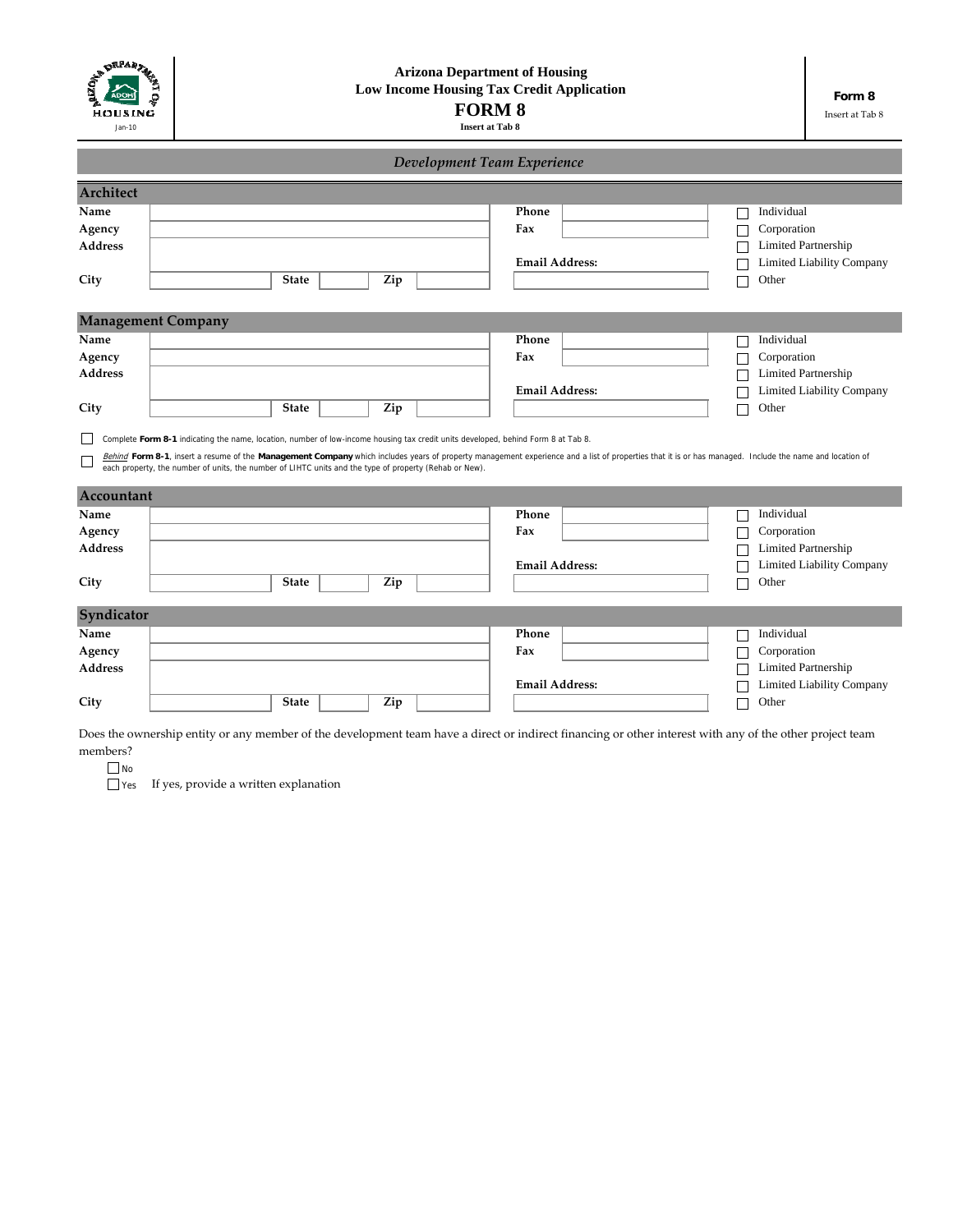| ON DRPARTY<br>HOUSING<br>Jan-10 | <b>Arizona Department of Housing</b><br><b>Low Income Housing Tax Credit Application</b><br><b>FORM 8</b><br><b>Insert at Tab 8</b>                                                                                                                                                                                                                                                                                                                   |                             |                                  |  |  |  |
|---------------------------------|-------------------------------------------------------------------------------------------------------------------------------------------------------------------------------------------------------------------------------------------------------------------------------------------------------------------------------------------------------------------------------------------------------------------------------------------------------|-----------------------------|----------------------------------|--|--|--|
|                                 |                                                                                                                                                                                                                                                                                                                                                                                                                                                       | Development Team Experience |                                  |  |  |  |
| Architect                       |                                                                                                                                                                                                                                                                                                                                                                                                                                                       |                             |                                  |  |  |  |
| Name                            |                                                                                                                                                                                                                                                                                                                                                                                                                                                       | Phone                       | Individual                       |  |  |  |
| Agency                          |                                                                                                                                                                                                                                                                                                                                                                                                                                                       | Fax                         | Corporation                      |  |  |  |
| <b>Address</b>                  |                                                                                                                                                                                                                                                                                                                                                                                                                                                       |                             | Limited Partnership              |  |  |  |
|                                 |                                                                                                                                                                                                                                                                                                                                                                                                                                                       | <b>Email Address:</b>       | Limited Liability Company        |  |  |  |
| City                            | <b>State</b><br>Zip                                                                                                                                                                                                                                                                                                                                                                                                                                   |                             | Other                            |  |  |  |
|                                 |                                                                                                                                                                                                                                                                                                                                                                                                                                                       |                             |                                  |  |  |  |
| <b>Management Company</b>       |                                                                                                                                                                                                                                                                                                                                                                                                                                                       |                             |                                  |  |  |  |
| Name                            |                                                                                                                                                                                                                                                                                                                                                                                                                                                       | Phone                       | Individual                       |  |  |  |
| Agency                          |                                                                                                                                                                                                                                                                                                                                                                                                                                                       | Fax                         | Corporation                      |  |  |  |
| <b>Address</b>                  |                                                                                                                                                                                                                                                                                                                                                                                                                                                       |                             | Limited Partnership              |  |  |  |
|                                 |                                                                                                                                                                                                                                                                                                                                                                                                                                                       | <b>Email Address:</b>       | <b>Limited Liability Company</b> |  |  |  |
| City                            | <b>State</b><br>Zip                                                                                                                                                                                                                                                                                                                                                                                                                                   |                             | Other                            |  |  |  |
|                                 | Complete Form 8-1 indicating the name, location, number of low-income housing tax credit units developed, behind Form 8 at Tab 8.<br>Behind Form 8-1, insert a resume of the Management Company which includes years of property management experience and a list of properties that it is or has managed. Include the name and location of<br>each property, the number of units, the number of LIHTC units and the type of property (Rehab or New). |                             |                                  |  |  |  |
| Accountant                      |                                                                                                                                                                                                                                                                                                                                                                                                                                                       |                             |                                  |  |  |  |
| Name                            |                                                                                                                                                                                                                                                                                                                                                                                                                                                       | Phone                       | Individual                       |  |  |  |
| Agency                          |                                                                                                                                                                                                                                                                                                                                                                                                                                                       | Fax                         | Corporation                      |  |  |  |
| <b>Address</b>                  |                                                                                                                                                                                                                                                                                                                                                                                                                                                       |                             | <b>Limited Partnership</b>       |  |  |  |
|                                 |                                                                                                                                                                                                                                                                                                                                                                                                                                                       | <b>Email Address:</b>       | Limited Liability Company        |  |  |  |
| City                            | <b>State</b><br>Zip                                                                                                                                                                                                                                                                                                                                                                                                                                   |                             | Other                            |  |  |  |
|                                 |                                                                                                                                                                                                                                                                                                                                                                                                                                                       |                             |                                  |  |  |  |
| Syndicator                      |                                                                                                                                                                                                                                                                                                                                                                                                                                                       |                             |                                  |  |  |  |
| Name                            |                                                                                                                                                                                                                                                                                                                                                                                                                                                       | Phone                       | Individual                       |  |  |  |
| Agency                          |                                                                                                                                                                                                                                                                                                                                                                                                                                                       | Fax                         | Corporation                      |  |  |  |
| <b>Address</b>                  |                                                                                                                                                                                                                                                                                                                                                                                                                                                       |                             | <b>Limited Partnership</b>       |  |  |  |
|                                 |                                                                                                                                                                                                                                                                                                                                                                                                                                                       | <b>Email Address:</b>       | Limited Liability Company        |  |  |  |
| City                            | <b>State</b><br>Zip                                                                                                                                                                                                                                                                                                                                                                                                                                   |                             | Other                            |  |  |  |

Does the ownership entity or any member of the development team have a direct or indirect financing or other interest with any of the other project team members?

No

If yes, provide a written explanation Yes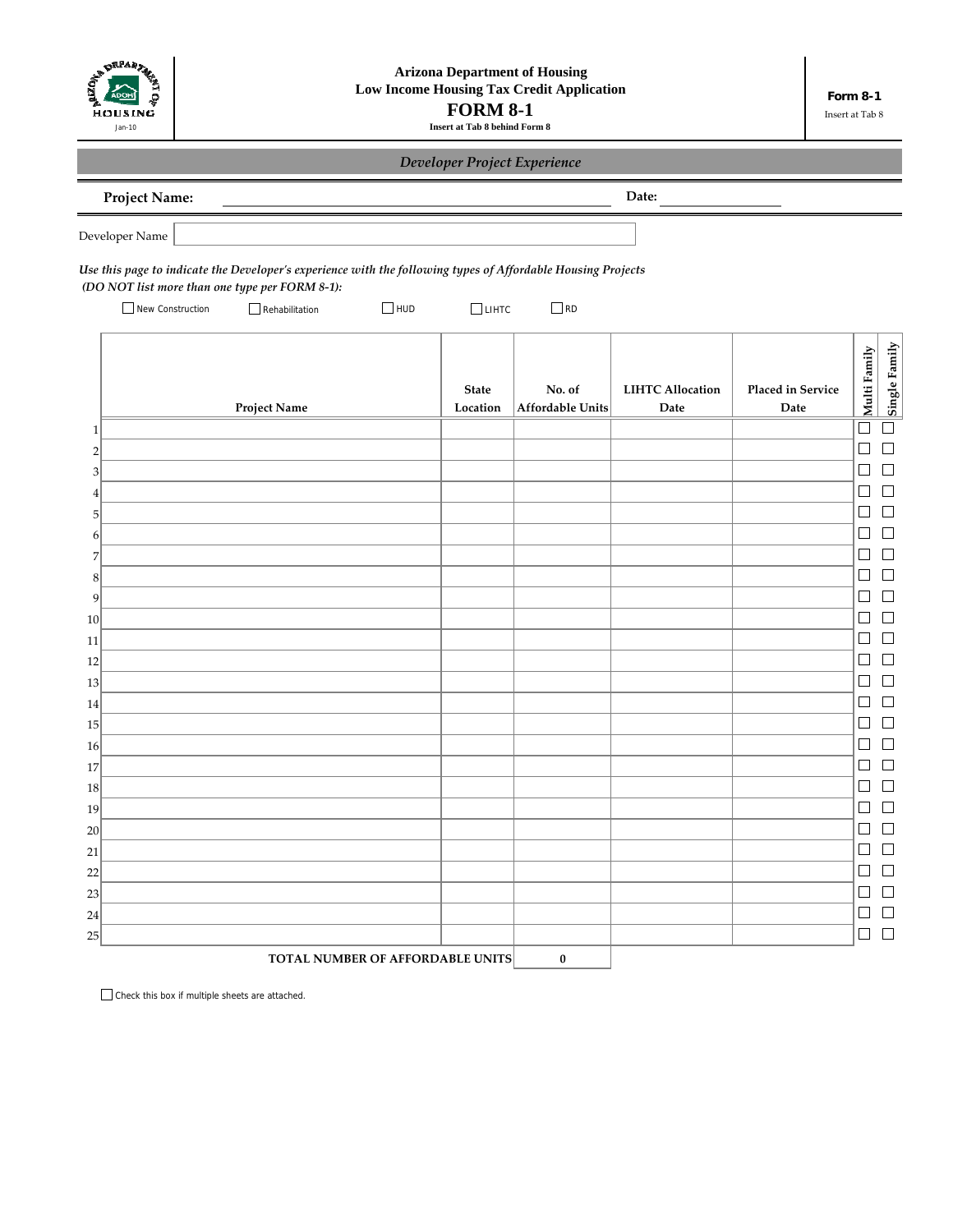

# *Developer Project Experience*

**Date:**

|  | <b>Project Name:</b> |
|--|----------------------|
|  |                      |

Developer Name

Use this page to indicate the Developer's experience with the following types of Affordable Housing Projects *(DO NOT list more than one type per FORM 8‐1):*

New Construction Rehabilitation HUD RD  $\Box$ LIHTC

|                           | Project Name | <b>State</b><br>Location | No. of<br>Affordable Units | <b>LIHTC Allocation</b><br>${\bf Date}$ | Placed in Service<br>${\rm \textbf{Date}}$ | Multi Family                | Single Family            |
|---------------------------|--------------|--------------------------|----------------------------|-----------------------------------------|--------------------------------------------|-----------------------------|--------------------------|
| $\,1\,$                   |              |                          |                            |                                         |                                            |                             | $\Box$                   |
| $\overline{2}$            |              |                          |                            |                                         |                                            | $\mathcal{L}$               | $\Box$                   |
| $\ensuremath{\mathsf{3}}$ |              |                          |                            |                                         |                                            |                             | $\Box$                   |
| $\vert 4 \vert$           |              |                          |                            |                                         |                                            |                             | □                        |
| $\vert 5 \vert$           |              |                          |                            |                                         |                                            |                             | $\overline{\phantom{a}}$ |
| $6 \mid$                  |              |                          |                            |                                         |                                            |                             | $\Box$                   |
| $\overline{z}$            |              |                          |                            |                                         |                                            |                             | $\Box$                   |
| $\,$ 8 $\,$               |              |                          |                            |                                         |                                            | L.                          | $\Box$                   |
| $\vert 9 \vert$           |              |                          |                            |                                         |                                            | L.                          | $\Box$                   |
| 10 <sup>1</sup>           |              |                          |                            |                                         |                                            | $\mathbf{r}$                | $\Box$                   |
| 11                        |              |                          |                            |                                         |                                            |                             | $\Box$                   |
| 12                        |              |                          |                            |                                         |                                            |                             | $\mathbf{L}$             |
| 13                        |              |                          |                            |                                         |                                            | L.                          | $\Box$                   |
| 14                        |              |                          |                            |                                         |                                            | L.                          | $\Box$                   |
| 15 <sup>5</sup>           |              |                          |                            |                                         |                                            | L                           | $\Box$                   |
| 16                        |              |                          |                            |                                         |                                            |                             | ×                        |
| 17                        |              |                          |                            |                                         |                                            |                             | $\Box$                   |
| 18                        |              |                          |                            |                                         |                                            | L.                          | $\Box$                   |
| 19                        |              |                          |                            |                                         |                                            | L.                          | $\Box$                   |
| 20                        |              |                          |                            |                                         |                                            | L.                          | $\Box$                   |
| 21                        |              |                          |                            |                                         |                                            | $\overline{\phantom{a}}$    | $\Box$                   |
| 22                        |              |                          |                            |                                         |                                            | $\mathbb{R}^2$              | $\Box$                   |
| 23                        |              |                          |                            |                                         |                                            |                             | $\Box$                   |
| 24                        |              |                          |                            |                                         |                                            | $\mathcal{L}_{\mathcal{A}}$ | $\Box$                   |
| 25                        |              |                          |                            |                                         |                                            | $\Box$                      | $\Box$                   |

Check this box if multiple sheets are attached.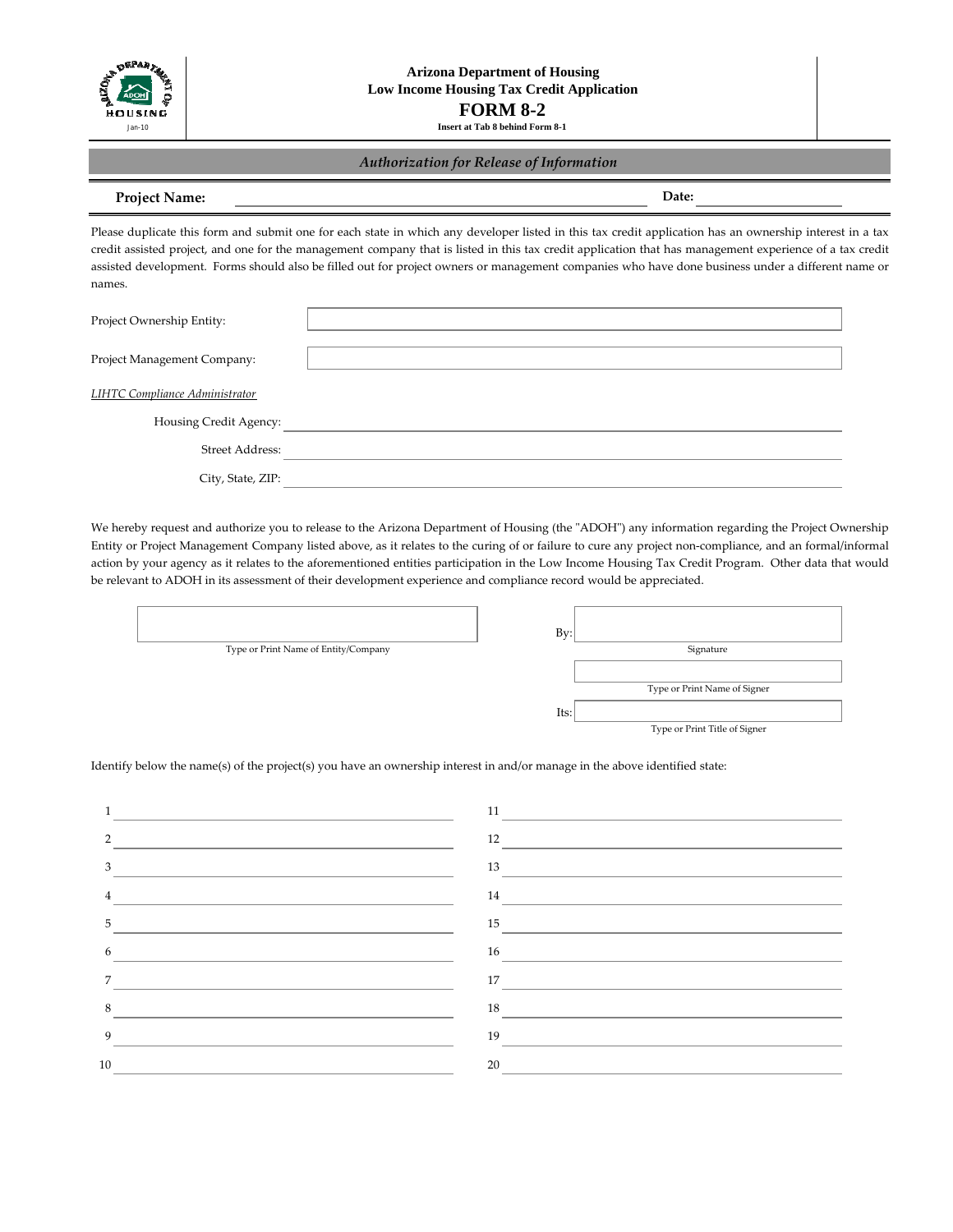

# *Authorization for Release of Information*

# **Project Name:**

**Date:**

Please duplicate this form and submit one for each state in which any developer listed in this tax credit application has an ownership interest in a tax credit assisted project, and one for the management company that is listed in this tax credit application that has management experience of a tax credit assisted development. Forms should also be filled out for project owners or management companies who have done business under a different name or names.

| Project Ownership Entity:             |  |
|---------------------------------------|--|
|                                       |  |
| Project Management Company:           |  |
|                                       |  |
| <b>LIHTC Compliance Administrator</b> |  |
| Housing Credit Agency:                |  |
| Street Address:                       |  |
| City, State, ZIP:                     |  |

We hereby request and authorize you to release to the Arizona Department of Housing (the "ADOH") any information regarding the Project Ownership Entity or Project Management Company listed above, as it relates to the curing of or failure to cure any project non-compliance, and an formal/informal action by your agency as it relates to the aforementioned entities participation in the Low Income Housing Tax Credit Program. Other data that would be relevant to ADOH in its assessment of their development experience and compliance record would be appreciated.

|                                      | Bv:                           |
|--------------------------------------|-------------------------------|
| Type or Print Name of Entity/Company | Signature                     |
|                                      |                               |
|                                      | Type or Print Name of Signer  |
|                                      | Its:                          |
|                                      | Type or Print Title of Signer |
|                                      |                               |

Identify below the name(s) of the project(s) you have an ownership interest in and/or manage in the above identified state:

| 1<br><u> 1989 - Johann Barbara, martxa alemaniar a</u>                                                                                 |                                                                                                                                                                                                                                                                                                                                                                                                                                      |
|----------------------------------------------------------------------------------------------------------------------------------------|--------------------------------------------------------------------------------------------------------------------------------------------------------------------------------------------------------------------------------------------------------------------------------------------------------------------------------------------------------------------------------------------------------------------------------------|
| $\overline{2}$<br><u> 1989 - Johann Stein, marwolaethau a bhann an t-Amhain an t-Amhain an t-Amhain an t-Amhain an t-Amhain an t-A</u> | $\frac{12}{\sqrt{110}}$                                                                                                                                                                                                                                                                                                                                                                                                              |
| 3 <sup>7</sup>                                                                                                                         | $\frac{13}{\sqrt{11}}$                                                                                                                                                                                                                                                                                                                                                                                                               |
| $\overline{4}$                                                                                                                         | $\frac{14}{\sqrt{25}}$                                                                                                                                                                                                                                                                                                                                                                                                               |
| 5 <sup>5</sup>                                                                                                                         |                                                                                                                                                                                                                                                                                                                                                                                                                                      |
| 6<br><u> 1989 - Johann Barbara, martin amerikan basal dan berasal dan berasal dalam basal dalam basal dalam basal dala</u>             | $\begin{tabular}{ c c c c } \hline & \multicolumn{3}{ c }{\textbf{16}} & \multicolumn{3}{ c }{\textbf{16}}\\ \hline \multicolumn{3}{ c }{\textbf{16}} & \multicolumn{3}{ c }{\textbf{16}} & \multicolumn{3}{ c }{\textbf{16}}\\ \hline \multicolumn{3}{ c }{\textbf{16}} & \multicolumn{3}{ c }{\textbf{16}} & \multicolumn{3}{ c }{\textbf{16}} & \multicolumn{3}{ c }{\textbf{16}}\\ \hline \multicolumn{3}{ c }{\textbf{16}} & \$ |
| $7^{\circ}$                                                                                                                            | $\begin{picture}(150,10) \put(0,0){\line(1,0){10}} \put(15,0){\line(1,0){10}} \put(15,0){\line(1,0){10}} \put(15,0){\line(1,0){10}} \put(15,0){\line(1,0){10}} \put(15,0){\line(1,0){10}} \put(15,0){\line(1,0){10}} \put(15,0){\line(1,0){10}} \put(15,0){\line(1,0){10}} \put(15,0){\line(1,0){10}} \put(15,0){\line(1,0){10}} \put(15,0){\line($                                                                                  |
| 8                                                                                                                                      |                                                                                                                                                                                                                                                                                                                                                                                                                                      |
| 9                                                                                                                                      |                                                                                                                                                                                                                                                                                                                                                                                                                                      |
| 10                                                                                                                                     | 20                                                                                                                                                                                                                                                                                                                                                                                                                                   |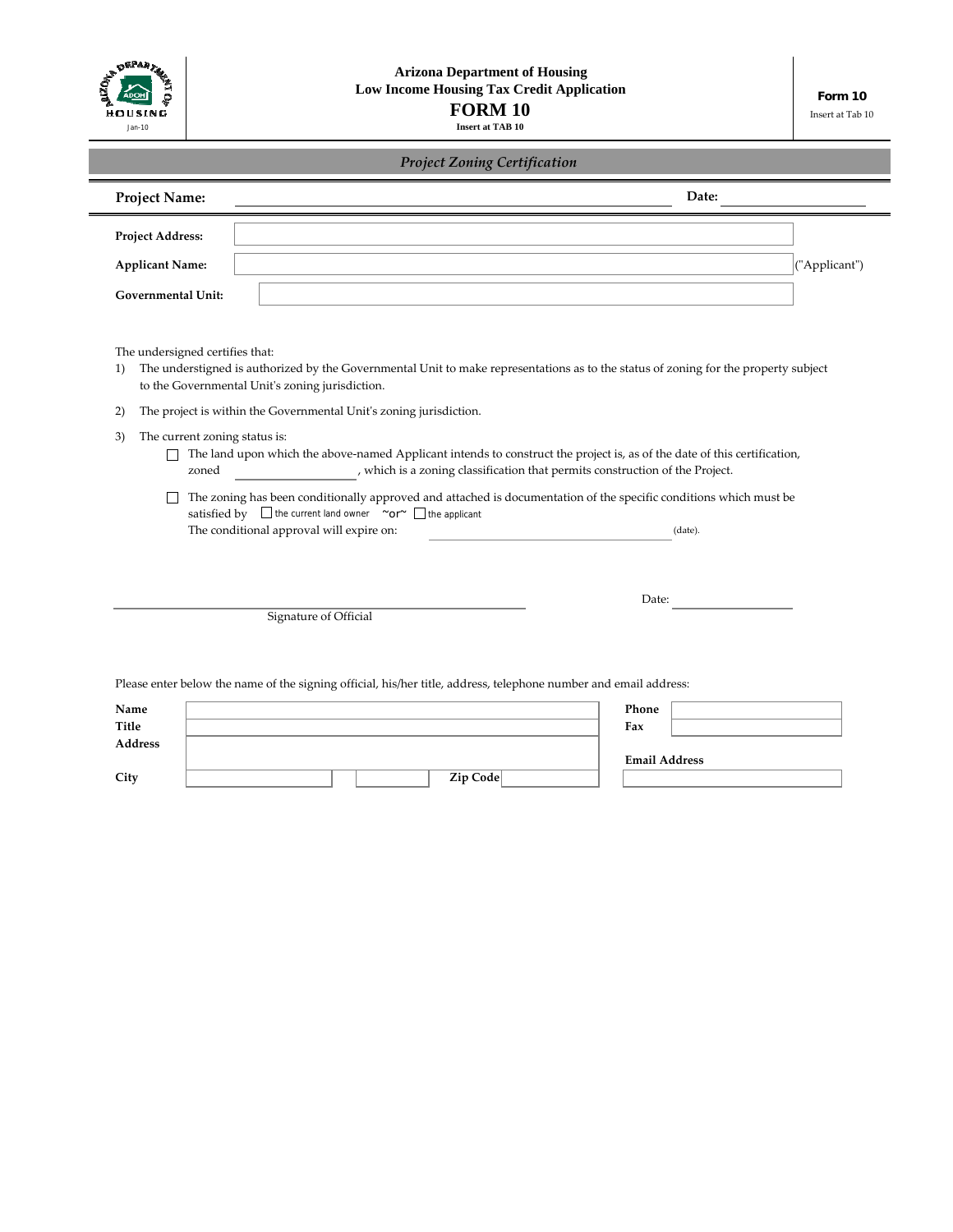| $R_{\mathcal{F}_{\mathcal{A}}}$<br>HOUSING |
|--------------------------------------------|
| Jan-10                                     |

| <b>Project Zoning Certification</b>          |                                                                                                                                                                                        |  |  |                                                                              |                      |         |               |
|----------------------------------------------|----------------------------------------------------------------------------------------------------------------------------------------------------------------------------------------|--|--|------------------------------------------------------------------------------|----------------------|---------|---------------|
| Project Name:                                |                                                                                                                                                                                        |  |  |                                                                              |                      | Date:   |               |
| Project Address:                             |                                                                                                                                                                                        |  |  |                                                                              |                      |         |               |
| <b>Applicant Name:</b>                       |                                                                                                                                                                                        |  |  |                                                                              |                      |         | ("Applicant") |
| <b>Governmental Unit:</b>                    |                                                                                                                                                                                        |  |  |                                                                              |                      |         |               |
| The undersigned certifies that:<br>1)        | The understigned is authorized by the Governmental Unit to make representations as to the status of zoning for the property subject<br>to the Governmental Unit's zoning jurisdiction. |  |  |                                                                              |                      |         |               |
| 2)                                           | The project is within the Governmental Unit's zoning jurisdiction.                                                                                                                     |  |  |                                                                              |                      |         |               |
| The current zoning status is:<br>3)<br>zoned | The land upon which the above-named Applicant intends to construct the project is, as of the date of this certification,                                                               |  |  | , which is a zoning classification that permits construction of the Project. |                      |         |               |
|                                              | The zoning has been conditionally approved and attached is documentation of the specific conditions which must be                                                                      |  |  |                                                                              |                      |         |               |
|                                              | satisfied by $\Box$ the current land owner $\sim$ or $\sim$ $\Box$ the applicant                                                                                                       |  |  |                                                                              |                      |         |               |
|                                              | The conditional approval will expire on:                                                                                                                                               |  |  |                                                                              |                      | (date). |               |
|                                              |                                                                                                                                                                                        |  |  |                                                                              |                      |         |               |
|                                              | Signature of Official                                                                                                                                                                  |  |  |                                                                              | Date:                |         |               |
|                                              |                                                                                                                                                                                        |  |  |                                                                              |                      |         |               |
|                                              |                                                                                                                                                                                        |  |  |                                                                              |                      |         |               |
|                                              | Please enter below the name of the signing official, his/her title, address, telephone number and email address:                                                                       |  |  |                                                                              |                      |         |               |
|                                              |                                                                                                                                                                                        |  |  |                                                                              | Phone<br>Fax         |         |               |
| Name<br>Title<br>Address                     |                                                                                                                                                                                        |  |  |                                                                              | <b>Email Address</b> |         |               |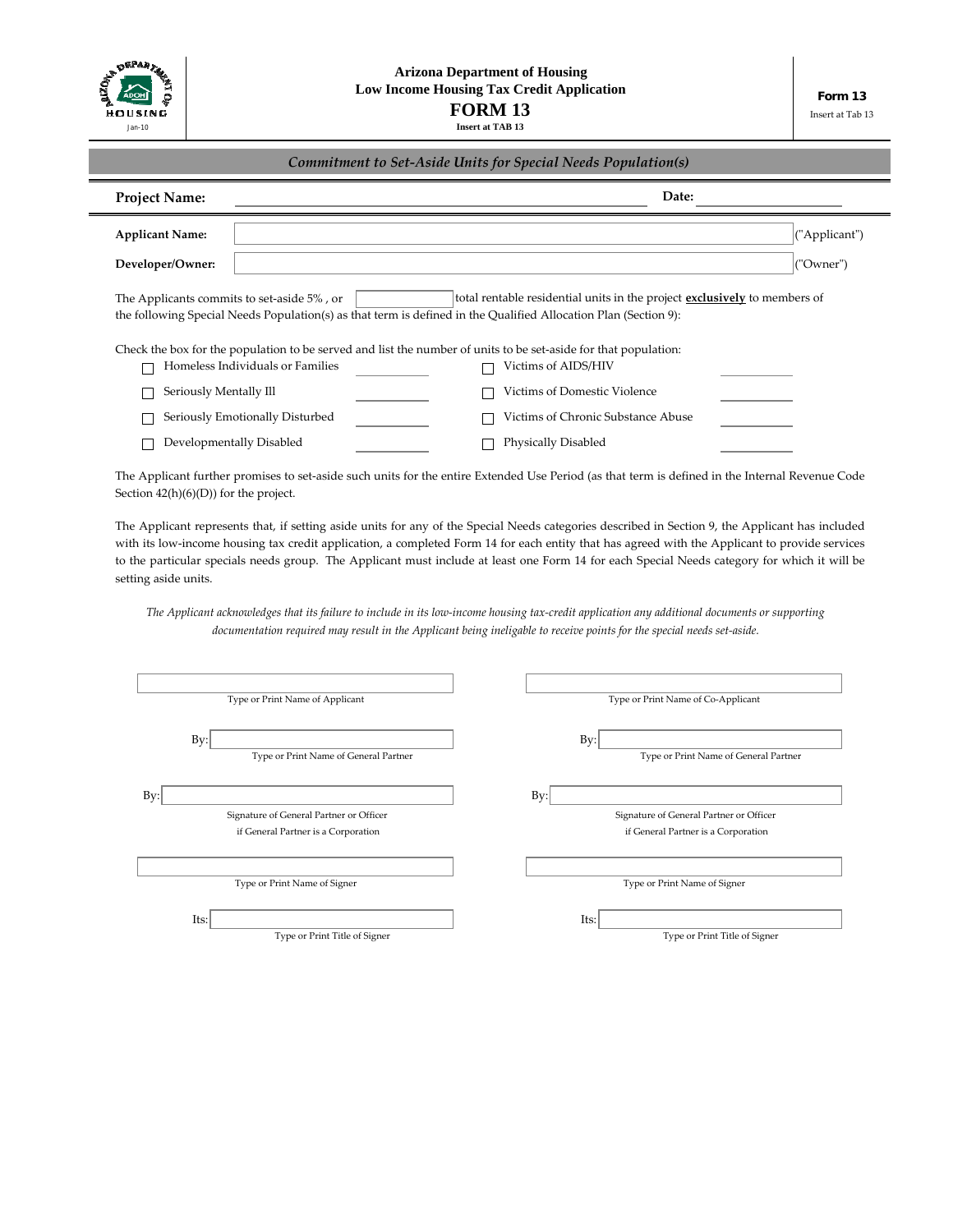

| Commitment to Set-Aside Units for Special Needs Population(s) |  |
|---------------------------------------------------------------|--|
|---------------------------------------------------------------|--|

| <b>Project Name:</b>                                                                                                                                                                                                                              | Date:                                                                                                           |  |  |  |
|---------------------------------------------------------------------------------------------------------------------------------------------------------------------------------------------------------------------------------------------------|-----------------------------------------------------------------------------------------------------------------|--|--|--|
| <b>Applicant Name:</b>                                                                                                                                                                                                                            | ("Applicant")                                                                                                   |  |  |  |
| Developer/Owner:                                                                                                                                                                                                                                  | ("Owner")                                                                                                       |  |  |  |
| total rentable residential units in the project <b>exclusively</b> to members of<br>The Applicants commits to set-aside 5%, or<br>the following Special Needs Population(s) as that term is defined in the Qualified Allocation Plan (Section 9): |                                                                                                                 |  |  |  |
|                                                                                                                                                                                                                                                   | Check the box for the population to be served and list the number of units to be set-aside for that population: |  |  |  |
| Homeless Individuals or Families                                                                                                                                                                                                                  | Victims of AIDS/HIV                                                                                             |  |  |  |
| Seriously Mentally Ill                                                                                                                                                                                                                            | Victims of Domestic Violence                                                                                    |  |  |  |
| Seriously Emotionally Disturbed                                                                                                                                                                                                                   | Victims of Chronic Substance Abuse                                                                              |  |  |  |
| Developmentally Disabled                                                                                                                                                                                                                          | Physically Disabled                                                                                             |  |  |  |

The Applicant further promises to set-aside such units for the entire Extended Use Period (as that term is defined in the Internal Revenue Code Section 42(h)(6)(D)) for the project.

The Applicant represents that, if setting aside units for any of the Special Needs categories described in Section 9, the Applicant has included with its low-income housing tax credit application, a completed Form 14 for each entity that has agreed with the Applicant to provide services to the particular specials needs group. The Applicant must include at least one Form 14 for each Special Needs category for which it will be setting aside units.

The Applicant acknowledges that its failure to include in its low-income housing tax-credit application any additional documents or supporting documentation required may result in the Applicant being ineligable to receive points for the special needs set-aside.

| Type or Print Name of Applicant                 | Type or Print Name of Co-Applicant           |
|-------------------------------------------------|----------------------------------------------|
| $Bv$ :<br>Type or Print Name of General Partner | By:<br>Type or Print Name of General Partner |
| By:                                             | By:                                          |
| Signature of General Partner or Officer         | Signature of General Partner or Officer      |
| if General Partner is a Corporation             | if General Partner is a Corporation          |
|                                                 |                                              |
| Type or Print Name of Signer                    | Type or Print Name of Signer                 |
| Its:                                            | Its:                                         |
| Type or Print Title of Signer                   | Type or Print Title of Signer                |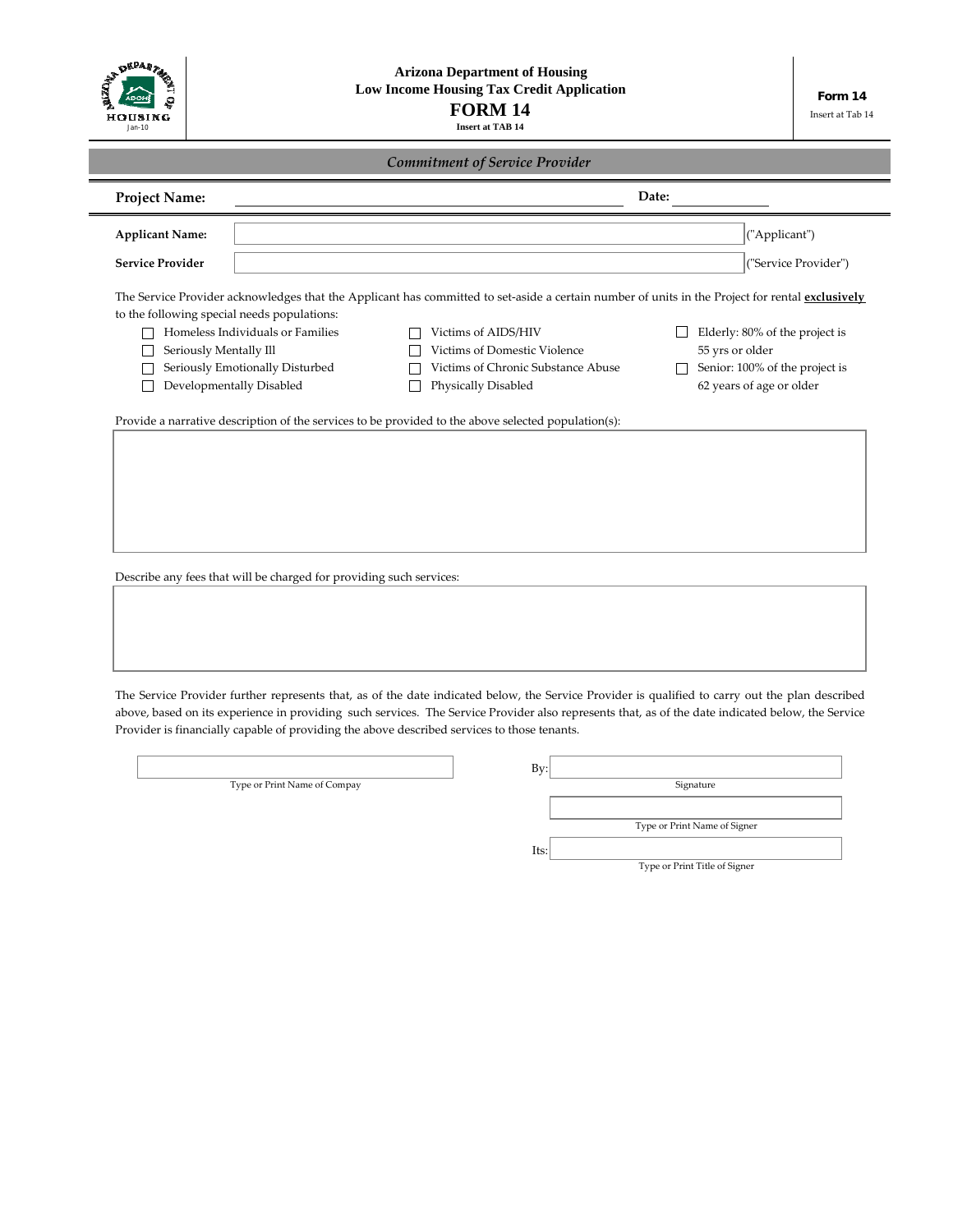| OEPART<br>HOUSING<br>Jan-10                                           |                                                                                                 | <b>Arizona Department of Housing</b><br>Low Income Housing Tax Credit Application<br><b>FORM 14</b><br><b>Insert at TAB 14</b> |                                                                                                                 | Form 14<br>Insert at Tab 14 |
|-----------------------------------------------------------------------|-------------------------------------------------------------------------------------------------|--------------------------------------------------------------------------------------------------------------------------------|-----------------------------------------------------------------------------------------------------------------|-----------------------------|
| <b>Commitment of Service Provider</b>                                 |                                                                                                 |                                                                                                                                |                                                                                                                 |                             |
| <b>Project Name:</b>                                                  |                                                                                                 |                                                                                                                                | Date:                                                                                                           |                             |
| <b>Applicant Name:</b>                                                |                                                                                                 |                                                                                                                                |                                                                                                                 | ("Applicant")               |
| <b>Service Provider</b>                                               |                                                                                                 |                                                                                                                                |                                                                                                                 | ("Service Provider")        |
| to the following special needs populations:<br>Seriously Mentally Ill | Homeless Individuals or Families<br>Seriously Emotionally Disturbed<br>Developmentally Disabled | Victims of AIDS/HIV<br>Victims of Domestic Violence<br>Victims of Chronic Substance Abuse<br>Physically Disabled               | Elderly: 80% of the project is<br>55 yrs or older<br>Senior: 100% of the project is<br>62 years of age or older |                             |
|                                                                       |                                                                                                 | Provide a narrative description of the services to be provided to the above selected population(s):                            |                                                                                                                 |                             |
|                                                                       |                                                                                                 |                                                                                                                                |                                                                                                                 |                             |
|                                                                       |                                                                                                 |                                                                                                                                |                                                                                                                 |                             |
|                                                                       |                                                                                                 |                                                                                                                                |                                                                                                                 |                             |
|                                                                       |                                                                                                 |                                                                                                                                |                                                                                                                 |                             |

Describe any fees that will be charged for providing such services:

The Service Provider further represents that, as of the date indicated below, the Service Provider is qualified to carry out the plan described above, based on its experience in providing such services. The Service Provider also represents that, as of the date indicated below, the Service Provider is financially capable of providing the above described services to those tenants.

Type or Print Name of Compay

| Bv:  |                               |
|------|-------------------------------|
|      | Signature                     |
|      |                               |
|      | Type or Print Name of Signer  |
| Its: |                               |
|      | Type or Print Title of Signer |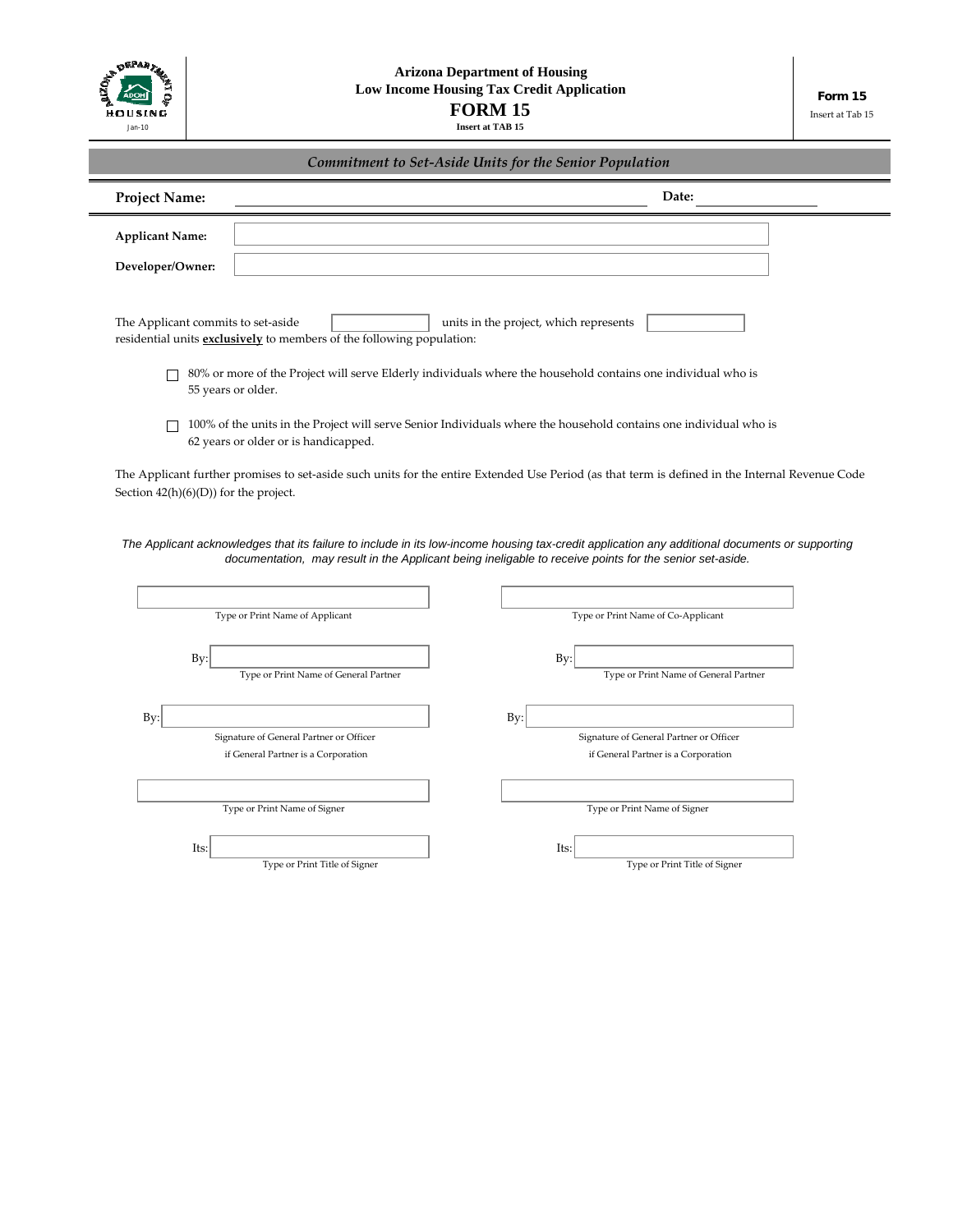

 $=$ 

| Commitment to Set-Aside Units for the Senior Population |  |
|---------------------------------------------------------|--|
|                                                         |  |

| <b>Project Name:</b>                   |                                                                                                         | Date:                                                                                                                                           |
|----------------------------------------|---------------------------------------------------------------------------------------------------------|-------------------------------------------------------------------------------------------------------------------------------------------------|
| <b>Applicant Name:</b>                 |                                                                                                         |                                                                                                                                                 |
| Developer/Owner:                       |                                                                                                         |                                                                                                                                                 |
| The Applicant commits to set-aside     |                                                                                                         | units in the project, which represents                                                                                                          |
|                                        | residential units <b>exclusively</b> to members of the following population:                            |                                                                                                                                                 |
|                                        | 55 years or older.                                                                                      | 80% or more of the Project will serve Elderly individuals where the household contains one individual who is                                    |
|                                        | 62 years or older or is handicapped.                                                                    | 100% of the units in the Project will serve Senior Individuals where the household contains one individual who is                               |
| Section $42(h)(6)(D)$ for the project. |                                                                                                         | The Applicant further promises to set-aside such units for the entire Extended Use Period (as that term is defined in the Internal Revenue Code |
|                                        |                                                                                                         |                                                                                                                                                 |
|                                        | documentation, may result in the Applicant being ineligable to receive points for the senior set-aside. | The Applicant acknowledges that its failure to include in its low-income housing tax-credit application any additional documents or supporting  |
|                                        |                                                                                                         |                                                                                                                                                 |
|                                        | Type or Print Name of Applicant                                                                         | Type or Print Name of Co-Applicant                                                                                                              |
|                                        |                                                                                                         |                                                                                                                                                 |
| By:                                    | Type or Print Name of General Partner                                                                   | By:<br>Type or Print Name of General Partner                                                                                                    |
|                                        |                                                                                                         |                                                                                                                                                 |
| By:                                    | Signature of General Partner or Officer                                                                 | By:<br>Signature of General Partner or Officer                                                                                                  |
|                                        | if General Partner is a Corporation                                                                     | if General Partner is a Corporation                                                                                                             |
|                                        |                                                                                                         |                                                                                                                                                 |
|                                        | Type or Print Name of Signer                                                                            | Type or Print Name of Signer                                                                                                                    |
| Its:                                   |                                                                                                         | Its:                                                                                                                                            |
|                                        | Type or Print Title of Signer                                                                           | Type or Print Title of Signer                                                                                                                   |
|                                        |                                                                                                         |                                                                                                                                                 |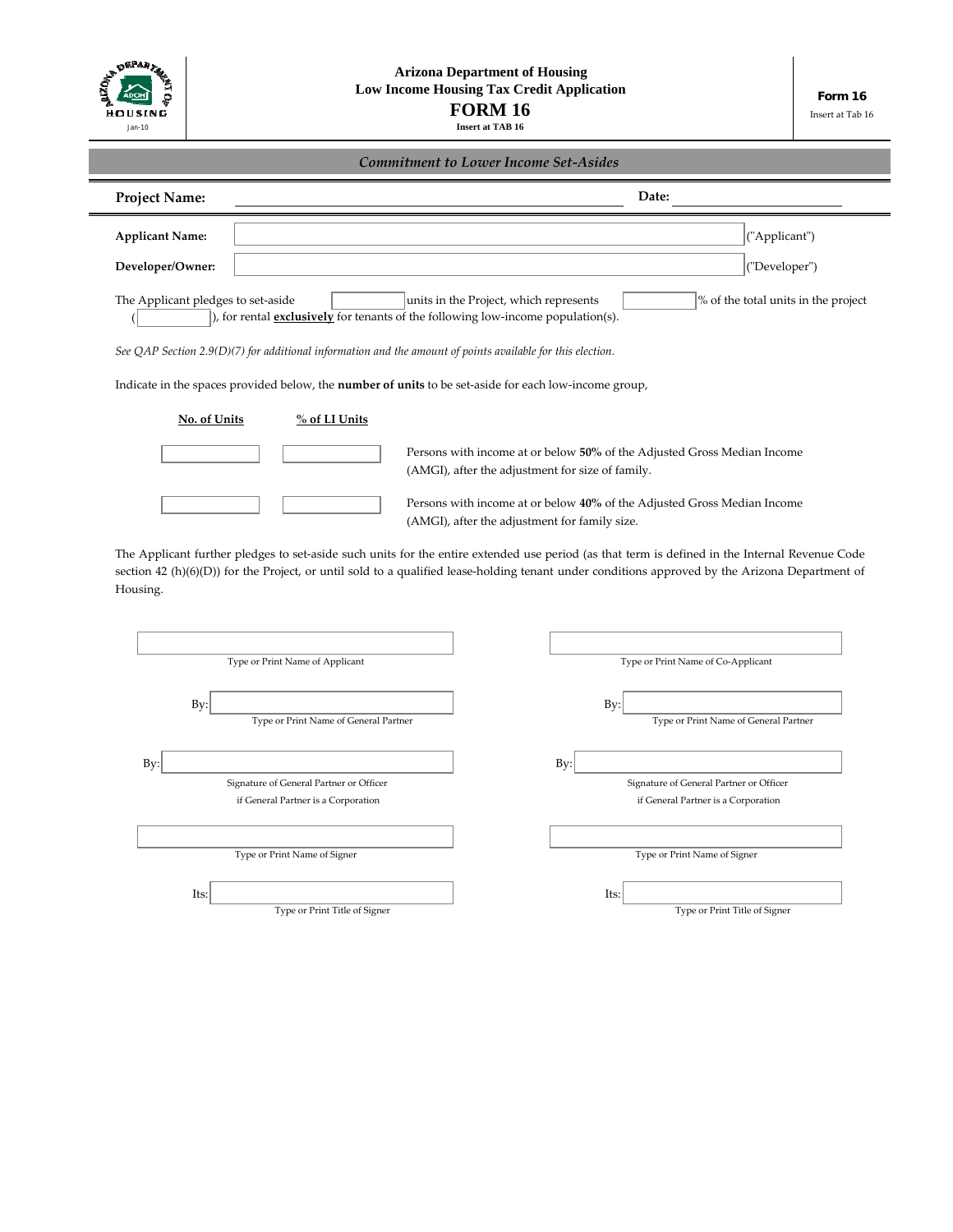| ۹Ę,<br>HOUSING |
|----------------|
| Jan-10         |

Insert at Tab 16

| <b>Project Name:</b>               |                                                                                                              | Date:                                                                                                                                           |                                     |
|------------------------------------|--------------------------------------------------------------------------------------------------------------|-------------------------------------------------------------------------------------------------------------------------------------------------|-------------------------------------|
| <b>Applicant Name:</b>             |                                                                                                              |                                                                                                                                                 | ("Applicant")                       |
| Developer/Owner:                   |                                                                                                              |                                                                                                                                                 | ("Developer")                       |
| The Applicant pledges to set-aside | ), for rental <b>exclusively</b> for tenants of the following low-income population(s).                      | units in the Project, which represents                                                                                                          | % of the total units in the project |
|                                    | See QAP Section 2.9(D)(7) for additional information and the amount of points available for this election.   |                                                                                                                                                 |                                     |
|                                    | Indicate in the spaces provided below, the <b>number of units</b> to be set-aside for each low-income group, |                                                                                                                                                 |                                     |
| No. of Units                       | % of LI Units                                                                                                |                                                                                                                                                 |                                     |
|                                    |                                                                                                              |                                                                                                                                                 |                                     |
|                                    |                                                                                                              | Persons with income at or below 50% of the Adjusted Gross Median Income<br>(AMGI), after the adjustment for size of family.                     |                                     |
|                                    |                                                                                                              | Persons with income at or below 40% of the Adjusted Gross Median Income                                                                         |                                     |
|                                    |                                                                                                              | (AMGI), after the adjustment for family size.                                                                                                   |                                     |
|                                    |                                                                                                              |                                                                                                                                                 |                                     |
|                                    |                                                                                                              | The Applicant further pledges to set-aside such units for the entire extended use period (as that term is defined in the Internal Revenue Code  |                                     |
|                                    |                                                                                                              | section 42 (h)(6)(D)) for the Project, or until sold to a qualified lease-holding tenant under conditions approved by the Arizona Department of |                                     |
|                                    |                                                                                                              |                                                                                                                                                 |                                     |
| Housing.                           |                                                                                                              |                                                                                                                                                 |                                     |

 $\mathbf{B} \mathbf{y}$ :  $\mathbf{B} \mathbf{y}$ :  $\qquad \qquad \mathbf{B} \mathbf{y}$ : Its: Its: if General Partner is a Corporation Type or Print Name of General Partner Signature of General Partner or Officer Type or Print Name of Signer if General Partner is a Corporation Signature of General Partner or Officer Type or Print Name of General Partner Type or Print Name of Signer

Type or Print Title of Signer

Type or Print Title of Signer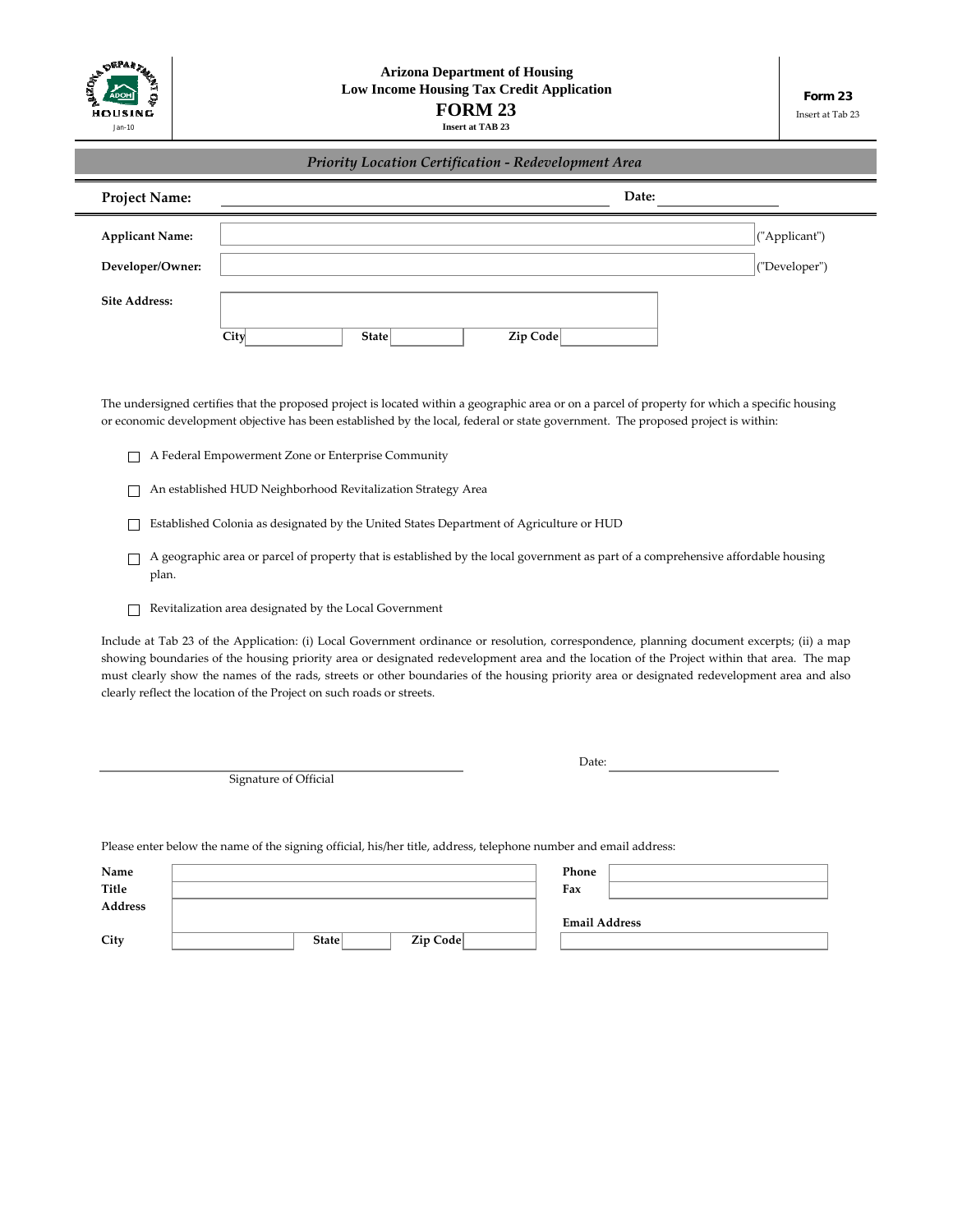

| Priority Location Certification - Redevelopment Area |      |       |          |       |               |  |
|------------------------------------------------------|------|-------|----------|-------|---------------|--|
| <b>Project Name:</b>                                 |      |       |          | Date: |               |  |
| <b>Applicant Name:</b>                               |      |       |          |       | ("Applicant") |  |
| Developer/Owner:                                     |      |       |          |       | ("Developer") |  |
| <b>Site Address:</b>                                 | City | State | Zip Code |       |               |  |

The undersigned certifies that the proposed project is located within a geographic area or on a parcel of property for which a specific housing or economic development objective has been established by the local, federal or state government. The proposed project is within:

- A Federal Empowerment Zone or Enterprise Community
- An established HUD Neighborhood Revitalization Strategy Area
- Established Colonia as designated by the United States Department of Agriculture or HUD
- A geographic area or parcel of property that is established by the local government as part of a comprehensive affordable housing plan.
- Revitalization area designated by the Local Government

Include at Tab 23 of the Application: (i) Local Government ordinance or resolution, correspondence, planning document excerpts; (ii) a map showing boundaries of the housing priority area or designated redevelopment area and the location of the Project within that area. The map must clearly show the names of the rads, streets or other boundaries of the housing priority area or designated redevelopment area and also clearly reflect the location of the Project on such roads or streets.

Signature of Official

Date:

Please enter below the name of the signing official, his/her title, address, telephone number and email address:

| Name    |                   | Phone                |
|---------|-------------------|----------------------|
| Title   |                   | Fax                  |
| Address |                   |                      |
|         |                   | <b>Email Address</b> |
| City    | Zip Code<br>State |                      |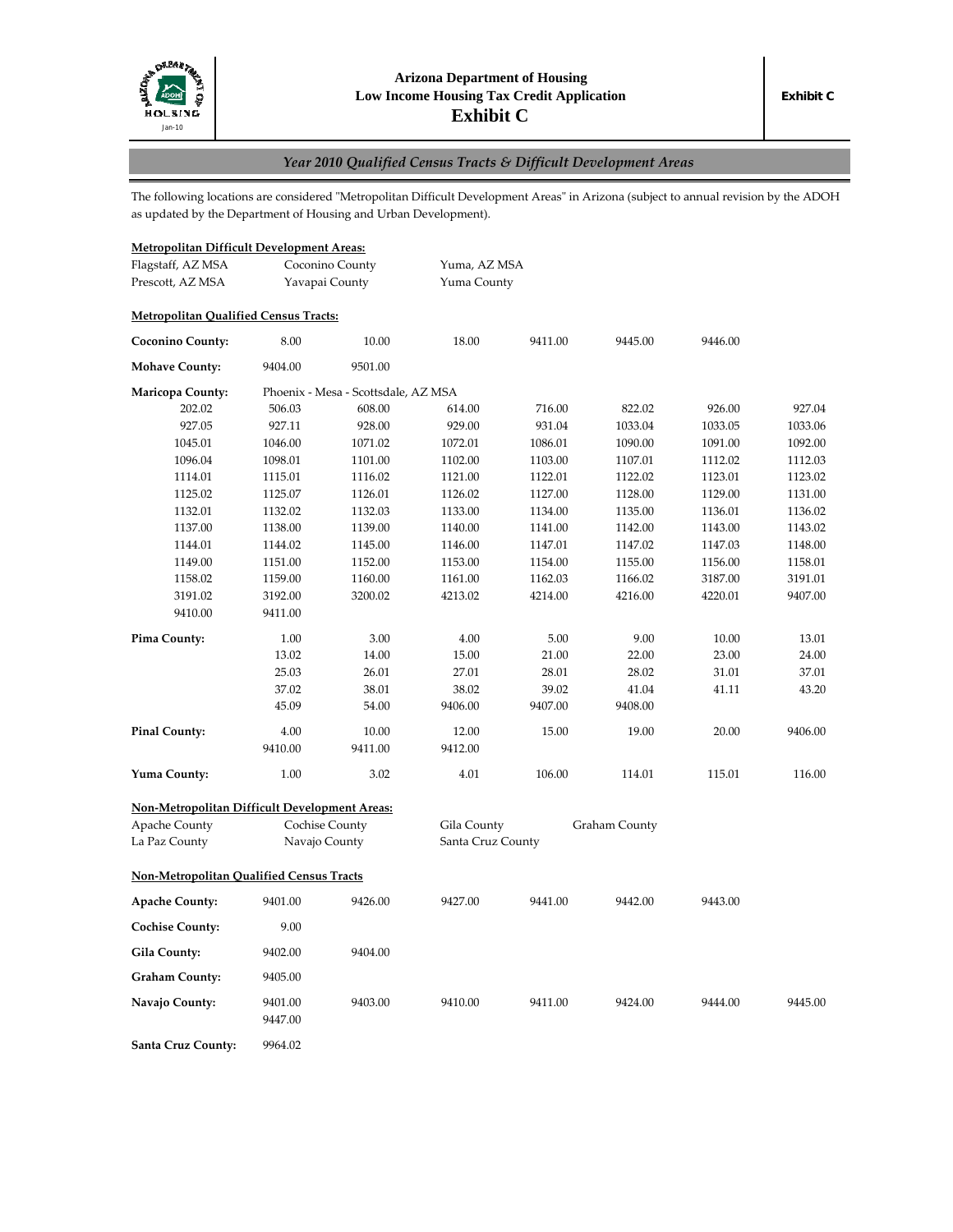

# *Year 2010 Qualified Census Tracts & Difficult Development Areas*

The following locations are considered "Metropolitan Difficult Development Areas" in Arizona (subject to annual revision by the ADOH as updated by the Department of Housing and Urban Development).

# **Metropolitan Difficult Development Areas:**

| Flagstaff, AZ MSA                                    |                | Coconino County                     | Yuma, AZ MSA      |         |               |         |         |
|------------------------------------------------------|----------------|-------------------------------------|-------------------|---------|---------------|---------|---------|
| Prescott, AZ MSA<br>Yavapai County                   |                | Yuma County                         |                   |         |               |         |         |
| <b>Metropolitan Qualified Census Tracts:</b>         |                |                                     |                   |         |               |         |         |
| <b>Coconino County:</b>                              | 8.00           | 10.00                               | 18.00             | 9411.00 | 9445.00       | 9446.00 |         |
| <b>Mohave County:</b>                                | 9404.00        | 9501.00                             |                   |         |               |         |         |
| <b>Maricopa County:</b>                              |                | Phoenix - Mesa - Scottsdale, AZ MSA |                   |         |               |         |         |
| 202.02                                               | 506.03         | 608.00                              | 614.00            | 716.00  | 822.02        | 926.00  | 927.04  |
| 927.05                                               | 927.11         | 928.00                              | 929.00            | 931.04  | 1033.04       | 1033.05 | 1033.06 |
| 1045.01                                              | 1046.00        | 1071.02                             | 1072.01           | 1086.01 | 1090.00       | 1091.00 | 1092.00 |
| 1096.04                                              | 1098.01        | 1101.00                             | 1102.00           | 1103.00 | 1107.01       | 1112.02 | 1112.03 |
| 1114.01                                              | 1115.01        | 1116.02                             | 1121.00           | 1122.01 | 1122.02       | 1123.01 | 1123.02 |
| 1125.02                                              | 1125.07        | 1126.01                             | 1126.02           | 1127.00 | 1128.00       | 1129.00 | 1131.00 |
| 1132.01                                              | 1132.02        | 1132.03                             | 1133.00           | 1134.00 | 1135.00       | 1136.01 | 1136.02 |
| 1137.00                                              | 1138.00        | 1139.00                             | 1140.00           | 1141.00 | 1142.00       | 1143.00 | 1143.02 |
| 1144.01                                              | 1144.02        | 1145.00                             | 1146.00           | 1147.01 | 1147.02       | 1147.03 | 1148.00 |
| 1149.00                                              | 1151.00        | 1152.00                             | 1153.00           | 1154.00 | 1155.00       | 1156.00 | 1158.01 |
| 1158.02                                              | 1159.00        | 1160.00                             | 1161.00           | 1162.03 | 1166.02       | 3187.00 | 3191.01 |
| 3191.02                                              | 3192.00        | 3200.02                             | 4213.02           | 4214.00 | 4216.00       | 4220.01 | 9407.00 |
| 9410.00                                              | 9411.00        |                                     |                   |         |               |         |         |
| Pima County:                                         | 1.00           | 3.00                                | 4.00              | 5.00    | 9.00          | 10.00   | 13.01   |
|                                                      | 13.02          | 14.00                               | 15.00             | 21.00   | 22.00         | 23.00   | 24.00   |
|                                                      | 25.03          | 26.01                               | 27.01             | 28.01   | 28.02         | 31.01   | 37.01   |
|                                                      | 37.02          | 38.01                               | 38.02             | 39.02   | 41.04         | 41.11   | 43.20   |
|                                                      | 45.09          | 54.00                               | 9406.00           | 9407.00 | 9408.00       |         |         |
| <b>Pinal County:</b>                                 | 4.00           | 10.00                               | 12.00             | 15.00   | 19.00         | 20.00   | 9406.00 |
|                                                      | 9410.00        | 9411.00                             | 9412.00           |         |               |         |         |
| Yuma County:                                         | 1.00           | 3.02                                | 4.01              | 106.00  | 114.01        | 115.01  | 116.00  |
| <b>Non-Metropolitan Difficult Development Areas:</b> |                |                                     |                   |         |               |         |         |
| <b>Apache County</b>                                 | Cochise County |                                     | Gila County       |         | Graham County |         |         |
| La Paz County                                        | Navajo County  |                                     | Santa Cruz County |         |               |         |         |
| <b>Non-Metropolitan Qualified Census Tracts</b>      |                |                                     |                   |         |               |         |         |
| <b>Apache County:</b>                                | 9401.00        | 9426.00                             | 9427.00           | 9441.00 | 9442.00       | 9443.00 |         |
| <b>Cochise County:</b>                               | 9.00           |                                     |                   |         |               |         |         |
| Gila County:                                         | 9402.00        | 9404.00                             |                   |         |               |         |         |
| <b>Graham County:</b>                                | 9405.00        |                                     |                   |         |               |         |         |
| Navajo County:                                       | 9401.00        | 9403.00                             | 9410.00           | 9411.00 | 9424.00       | 9444.00 | 9445.00 |
|                                                      | 9447.00        |                                     |                   |         |               |         |         |
| Santa Cruz County:                                   | 9964.02        |                                     |                   |         |               |         |         |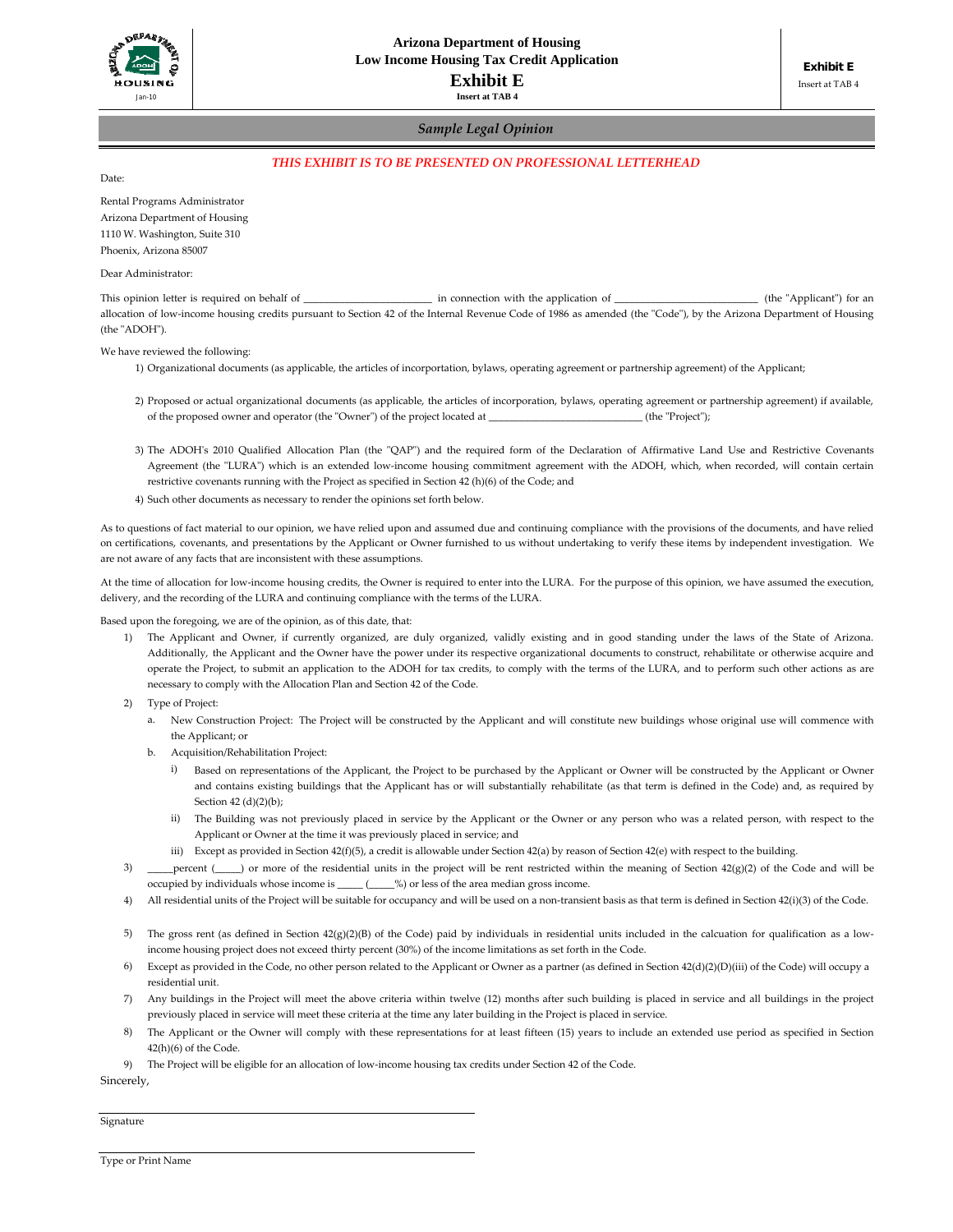

#### *Sample Legal Opinion*

#### *THIS EXHIBIT IS TO BE PRESENTED ON PROFESSIONAL LETTERHEAD*

Date:

Rental Programs Administrator Arizona Department of Housing 1110 W. Washington, Suite 310 Phoenix, Arizona 85007

Dear Administrator:

This opinion letter is required on behalf of \_\_\_\_\_\_\_\_\_\_\_\_\_\_\_\_\_\_\_\_\_\_\_ in connection with the application of \_\_\_\_\_\_\_\_\_\_\_\_\_\_\_\_\_\_\_\_\_\_\_\_\_\_\_\_\_\_\_\_\_ (the "Applicant") for an allocation of low-income housing credits pursuant to Section 42 of the Internal Revenue Code of 1986 as amended (the "Code"), by the Arizona Department of Housing (the "ADOH").

We have reviewed the following:

- 1) Organizational documents (as applicable, the articles of incorportation, bylaws, operating agreement or partnership agreement) of the Applicant;
- 2) Proposed or actual organizational documents (as applicable, the articles of incorporation, bylaws, operating agreement or partnership agreement) if available, of the proposed owner and operator (the "Owner") of the project located at \_\_\_\_\_\_\_\_\_\_\_\_\_\_\_\_\_\_\_\_\_\_\_\_\_\_\_\_\_\_\_\_\_ (the "Project");
- 3) The ADOH's 2010 Qualified Allocation Plan (the "QAP") and the required form of the Declaration of Affirmative Land Use and Restrictive Covenants Agreement (the "LURA") which is an extended low-income housing commitment agreement with the ADOH, which, when recorded, will contain certain restrictive covenants running with the Project as specified in Section 42 (h)(6) of the Code; and
- 4) Such other documents as necessary to render the opinions set forth below.

As to questions of fact material to our opinion, we have relied upon and assumed due and continuing compliance with the provisions of the documents, and have relied on certifications, covenants, and presentations by the Applicant or Owner furnished to us without undertaking to verify these items by independent investigation. We are not aware of any facts that are inconsistent with these assumptions.

At the time of allocation for low-income housing credits, the Owner is required to enter into the LURA. For the purpose of this opinion, we have assumed the execution, delivery, and the recording of the LURA and continuing compliance with the terms of the LURA.

Based upon the foregoing, we are of the opinion, as of this date, that:

- 1) The Applicant and Owner, if currently organized, are duly organized, validly existing and in good standing under the laws of the State of Arizona. Additionally, the Applicant and the Owner have the power under its respective organizational documents to construct, rehabilitate or otherwise acquire and operate the Project, to submit an application to the ADOH for tax credits, to comply with the terms of the LURA, and to perform such other actions as are necessary to comply with the Allocation Plan and Section 42 of the Code.
- 2) Type of Project:
	- a. New Construction Project: The Project will be constructed by the Applicant and will constitute new buildings whose original use will commence with the Applicant; or
	- b. Acquisition/Rehabilitation Project:
		- i) Based on representations of the Applicant, the Project to be purchased by the Applicant or Owner will be constructed by the Applicant or Owner and contains existing buildings that the Applicant has or will substantially rehabilitate (as that term is defined in the Code) and, as required by Section 42 (d)(2)(b);
		- ii) The Building was not previously placed in service by the Applicant or the Owner or any person who was a related person, with respect to the Applicant or Owner at the time it was previously placed in service; and
		- iii) Except as provided in Section 42(f)(5), a credit is allowable under Section 42(a) by reason of Section 42(e) with respect to the building.
- 3) percent (\_\_\_\_) or more of the residential units in the project will be rent restricted within the meaning of Section 42(g)(2) of the Code and will be occupied by individuals whose income is \_\_\_\_\_ (\_\_\_\_\_%) or less of the area median gross income.
- 4) All residential units of the Project will be suitable for occupancy and will be used on a non‐transient basis as that term is defined in Section 42(i)(3) of the Code.
- 5) The gross rent (as defined in Section 42(g)(2)(B) of the Code) paid by individuals in residential units included in the calcuation for qualification as a lowincome housing project does not exceed thirty percent (30%) of the income limitations as set forth in the Code.
- 6) Except as provided in the Code, no other person related to the Applicant or Owner as a partner (as defined in Section 42(d)(2)(D)(iii) of the Code) will occupy a residential unit.
- 7) Any buildings in the Project will meet the above criteria within twelve (12) months after such building is placed in service and all buildings in the project previously placed in service will meet these criteria at the time any later building in the Project is placed in service.
- 8) The Applicant or the Owner will comply with these representations for at least fifteen (15) years to include an extended use period as specified in Section 42(h)(6) of the Code.
- 9) The Project will be eligible for an allocation of low‐income housing tax credits under Section 42 of the Code.

Sincerely,

Signature

Type or Print Name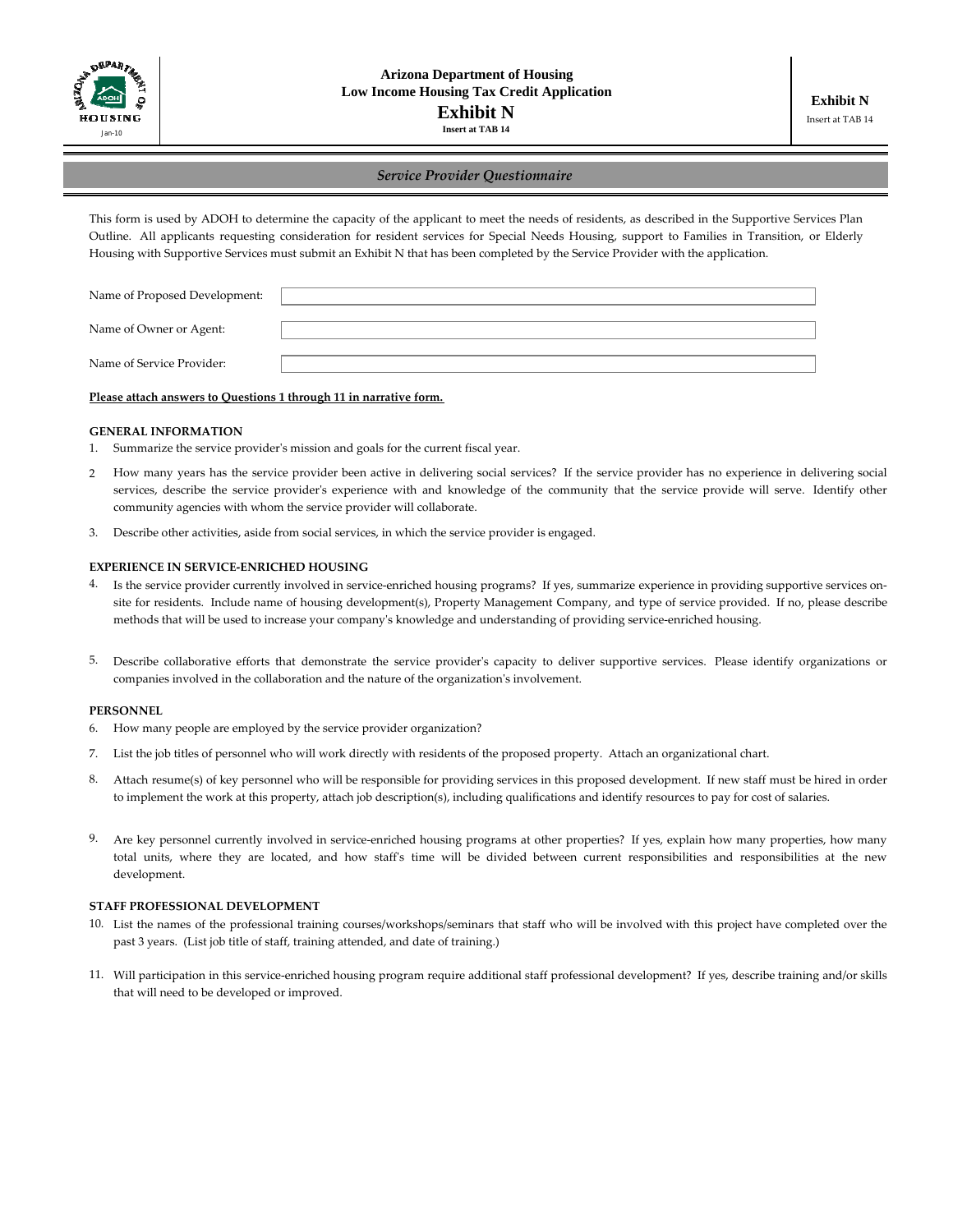

### *Service Provider Questionnaire*

This form is used by ADOH to determine the capacity of the applicant to meet the needs of residents, as described in the Supportive Services Plan Outline. All applicants requesting consideration for resident services for Special Needs Housing, support to Families in Transition, or Elderly Housing with Supportive Services must submit an Exhibit N that has been completed by the Service Provider with the application.

| Name of Proposed Development: |  |
|-------------------------------|--|
|                               |  |
| Name of Owner or Agent:       |  |
|                               |  |
| Name of Service Provider:     |  |
|                               |  |

#### **Please attach answers to Questions 1 through 11 in narrative form.**

#### **GENERAL INFORMATION**

- 1. Summarize the service providerʹs mission and goals for the current fiscal year.
- 2 How many years has the service provider been active in delivering social services? If the service provider has no experience in delivering social services, describe the service provider's experience with and knowledge of the community that the service provide will serve. Identify other community agencies with whom the service provider will collaborate.
- 3. Describe other activities, aside from social services, in which the service provider is engaged.

#### **EXPERIENCE IN SERVICE‐ENRICHED HOUSING**

- 4. Is the service provider currently involved in service-enriched housing programs? If yes, summarize experience in providing supportive services onsite for residents. Include name of housing development(s), Property Management Company, and type of service provided. If no, please describe methods that will be used to increase your companyʹs knowledge and understanding of providing service‐enriched housing.
- 5. Describe collaborative efforts that demonstrate the service providerʹs capacity to deliver supportive services. Please identify organizations or companies involved in the collaboration and the nature of the organizationʹs involvement.

#### **PERSONNEL**

- 6. How many people are employed by the service provider organization?
- 7. List the job titles of personnel who will work directly with residents of the proposed property. Attach an organizational chart.
- 8. Attach resume(s) of key personnel who will be responsible for providing services in this proposed development. If new staff must be hired in order to implement the work at this property, attach job description(s), including qualifications and identify resources to pay for cost of salaries.
- 9. Are key personnel currently involved in service-enriched housing programs at other properties? If yes, explain how many properties, how many total units, where they are located, and how staff's time will be divided between current responsibilities and responsibilities at the new development.

#### **STAFF PROFESSIONAL DEVELOPMENT**

- 10. List the names of the professional training courses/workshops/seminars that staff who will be involved with this project have completed over the past 3 years. (List job title of staff, training attended, and date of training.)
- 11. Will participation in this service‐enriched housing program require additional staff professional development? If yes, describe training and/or skills that will need to be developed or improved.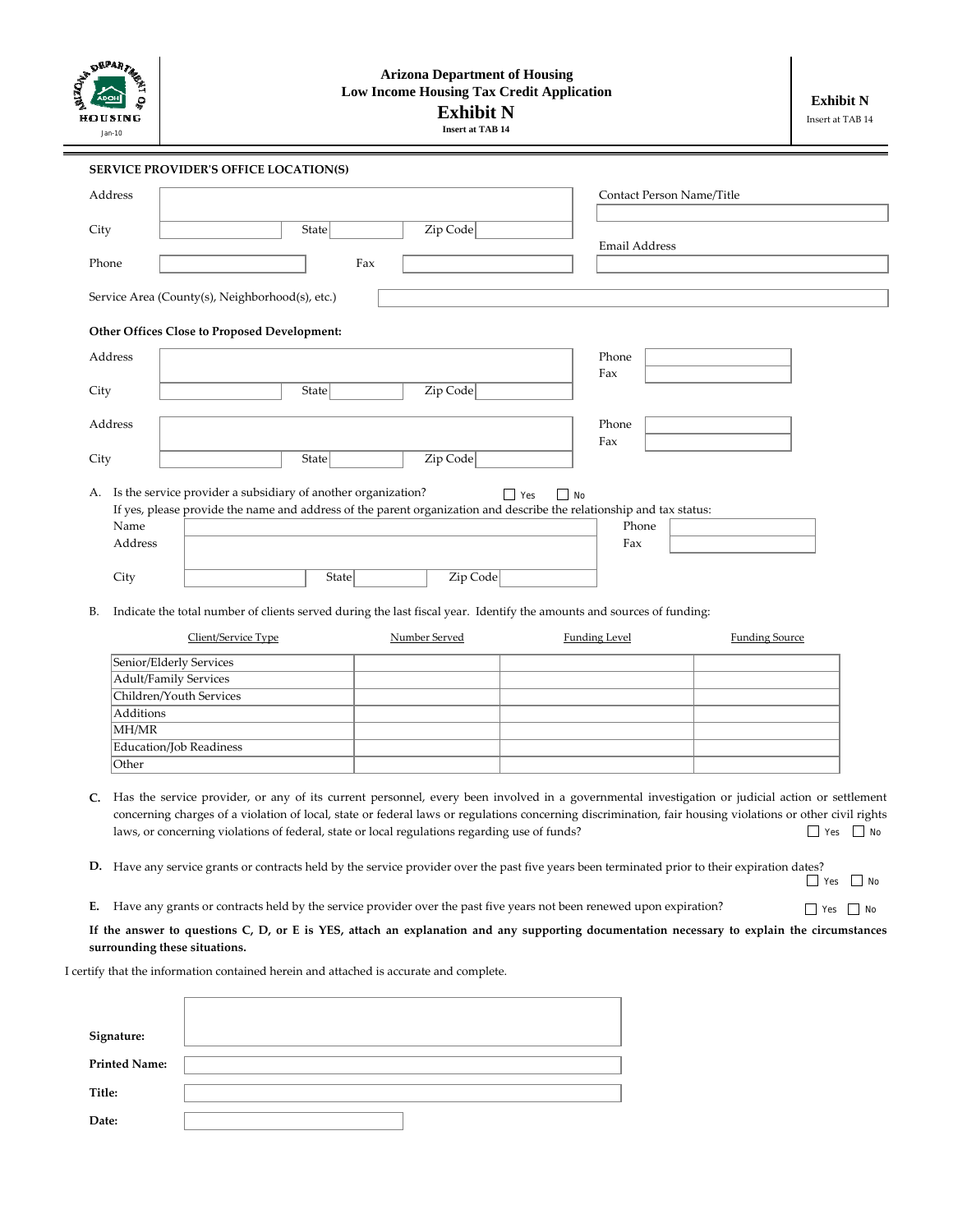| .<br>Рад 73<br>HOUSING |
|------------------------|
| Jan-10                 |

# **Arizona Department of Housing Low Income Housing Tax Credit Application Exhibit N**

**Insert at TAB 14**

Yes No

| <b>SERVICE PROVIDER'S OFFICE LOCATION(S)</b><br>Address<br>Contact Person Name/Title<br>Zip Code<br>State<br>City<br><b>Email Address</b><br>Phone<br>Fax<br>Service Area (County(s), Neighborhood(s), etc.)<br>Other Offices Close to Proposed Development:<br>Address<br>Phone<br>Fax<br>Zip Code<br>City<br><b>State</b><br>Address<br>Phone<br>Fax<br>Zip Code<br>State<br>City<br>A. Is the service provider a subsidiary of another organization?<br>$\Box$ Yes<br>$\Box$ No<br>If yes, please provide the name and address of the parent organization and describe the relationship and tax status:<br>Name<br>Phone<br>Address<br>Fax |
|-----------------------------------------------------------------------------------------------------------------------------------------------------------------------------------------------------------------------------------------------------------------------------------------------------------------------------------------------------------------------------------------------------------------------------------------------------------------------------------------------------------------------------------------------------------------------------------------------------------------------------------------------|
|                                                                                                                                                                                                                                                                                                                                                                                                                                                                                                                                                                                                                                               |
|                                                                                                                                                                                                                                                                                                                                                                                                                                                                                                                                                                                                                                               |
|                                                                                                                                                                                                                                                                                                                                                                                                                                                                                                                                                                                                                                               |
|                                                                                                                                                                                                                                                                                                                                                                                                                                                                                                                                                                                                                                               |
|                                                                                                                                                                                                                                                                                                                                                                                                                                                                                                                                                                                                                                               |
|                                                                                                                                                                                                                                                                                                                                                                                                                                                                                                                                                                                                                                               |
|                                                                                                                                                                                                                                                                                                                                                                                                                                                                                                                                                                                                                                               |
|                                                                                                                                                                                                                                                                                                                                                                                                                                                                                                                                                                                                                                               |
|                                                                                                                                                                                                                                                                                                                                                                                                                                                                                                                                                                                                                                               |
|                                                                                                                                                                                                                                                                                                                                                                                                                                                                                                                                                                                                                                               |
|                                                                                                                                                                                                                                                                                                                                                                                                                                                                                                                                                                                                                                               |
|                                                                                                                                                                                                                                                                                                                                                                                                                                                                                                                                                                                                                                               |
|                                                                                                                                                                                                                                                                                                                                                                                                                                                                                                                                                                                                                                               |
|                                                                                                                                                                                                                                                                                                                                                                                                                                                                                                                                                                                                                                               |
| Zip Code<br>State<br>City                                                                                                                                                                                                                                                                                                                                                                                                                                                                                                                                                                                                                     |
| Indicate the total number of clients served during the last fiscal year. Identify the amounts and sources of funding:<br>В.                                                                                                                                                                                                                                                                                                                                                                                                                                                                                                                   |
| Client/Service Type<br>Number Served<br><b>Funding Level</b><br><b>Funding Source</b>                                                                                                                                                                                                                                                                                                                                                                                                                                                                                                                                                         |
| Senior/Elderly Services                                                                                                                                                                                                                                                                                                                                                                                                                                                                                                                                                                                                                       |
| <b>Adult/Family Services</b>                                                                                                                                                                                                                                                                                                                                                                                                                                                                                                                                                                                                                  |
| Children/Youth Services                                                                                                                                                                                                                                                                                                                                                                                                                                                                                                                                                                                                                       |
| Additions                                                                                                                                                                                                                                                                                                                                                                                                                                                                                                                                                                                                                                     |
| MH/MR                                                                                                                                                                                                                                                                                                                                                                                                                                                                                                                                                                                                                                         |
| Education/Job Readiness                                                                                                                                                                                                                                                                                                                                                                                                                                                                                                                                                                                                                       |
| Other                                                                                                                                                                                                                                                                                                                                                                                                                                                                                                                                                                                                                                         |
| Has the service provider, or any of its current personnel, every been involved in a governmental investigation or judicial action or settlement<br>C.<br>concerning charges of a violation of local, state or federal laws or regulations concerning discrimination, fair housing violations or other civil rights<br>laws, or concerning violations of federal, state or local regulations regarding use of funds?<br>$\Box$ No<br>$\Box$ Yes                                                                                                                                                                                                |

**D.** Have any service grants or contracts held by the service provider over the past five years been terminated prior to their expiration dates? <br>No Yes □ No

**E.** Have any grants or contracts held by the service provider over the past five years not been renewed upon expiration?

**If the answer to questions C, D, or E is YES, attach an explanation and any supporting documentation necessary to explain the circumstances surrounding these situations.**

I certify that the information contained herein and attached is accurate and complete.

| Signature:           |  |
|----------------------|--|
| <b>Printed Name:</b> |  |
| Title:               |  |
| Date:                |  |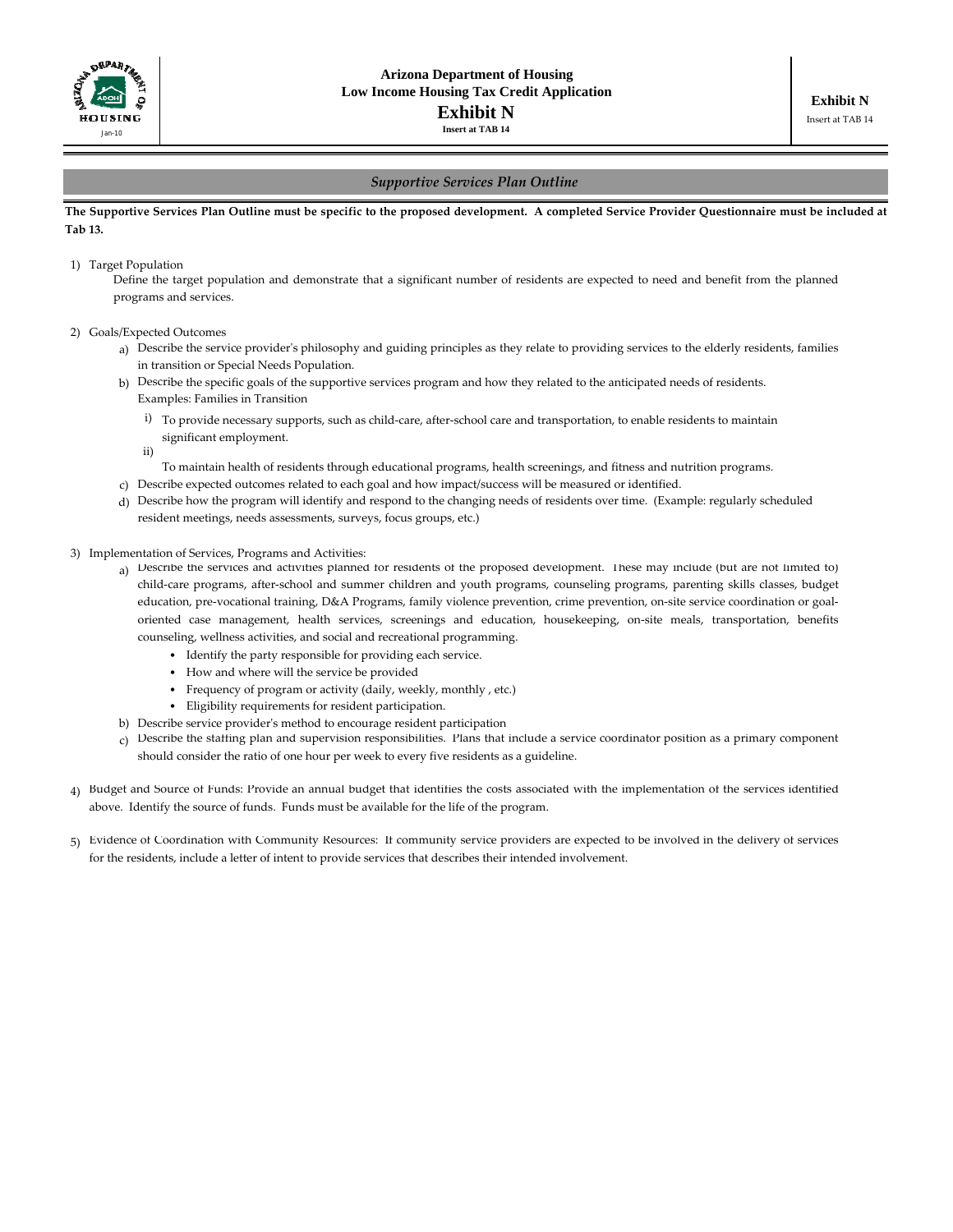

## *Supportive Services Plan Outline*

#### The Supportive Services Plan Outline must be specific to the proposed development. A completed Service Provider Questionnaire must be included at **Tab 13.**

#### 1) Target Population

Define the target population and demonstrate that a significant number of residents are expected to need and benefit from the planned programs and services.

- 2) Goals/Expected Outcomes
	- a) Describe the service provider's philosophy and guiding principles as they relate to providing services to the elderly residents, families in transition or Special Needs Population.
	- b) Describe the specific goals of the supportive services program and how they related to the anticipated needs of residents.Examples: Families in Transition
		- i) To provide necessary supports, such as child‐care, after‐school care and transportation, to enable residents to maintain significant employment.
		- ii)

To maintain health of residents through educational programs, health screenings, and fitness and nutrition programs.

- c) Describe expected outcomes related to each goal and how impact/success will be measured or identified.
- d) Describe how the program will identify and respond to the changing needs of residents over time. (Example: regularly scheduled resident meetings, needs assessments, surveys, focus groups, etc.)
- 3) Implementation of Services, Programs and Activities:
	- a) Describe the services and activities planned for residents of the proposed development. These may include (but are not limited to) child‐care programs, after‐school and summer children and youth programs, counseling programs, parenting skills classes, budget education, pre-vocational training, D&A Programs, family violence prevention, crime prevention, on-site service coordination or goaloriented case management, health services, screenings and education, housekeeping, on‐site meals, transportation, benefits counseling, wellness activities, and social and recreational programming.
		- Identify the party responsible for providing each service.
		- How and where will the service be provided
		- Frequency of program or activity (daily, weekly, monthly , etc.)
		- Eligibility requirements for resident participation.
	- b) Describe service providerʹs method to encourage resident participation
	- c) Describe the staffing plan and supervision responsibilities. Plans that include a service coordinator position as a primary component should consider the ratio of one hour per week to every five residents as a guideline.
- 4) Budget and Source of Funds: Provide an annual budget that identifies the costs associated with the implementation of the services identified above. Identify the source of funds. Funds must be available for the life of the program.
- 5) Evidence of Coordination with Community Resources: If community service providers are expected to be involved in the delivery of services for the residents, include a letter of intent to provide services that describes their intended involvement.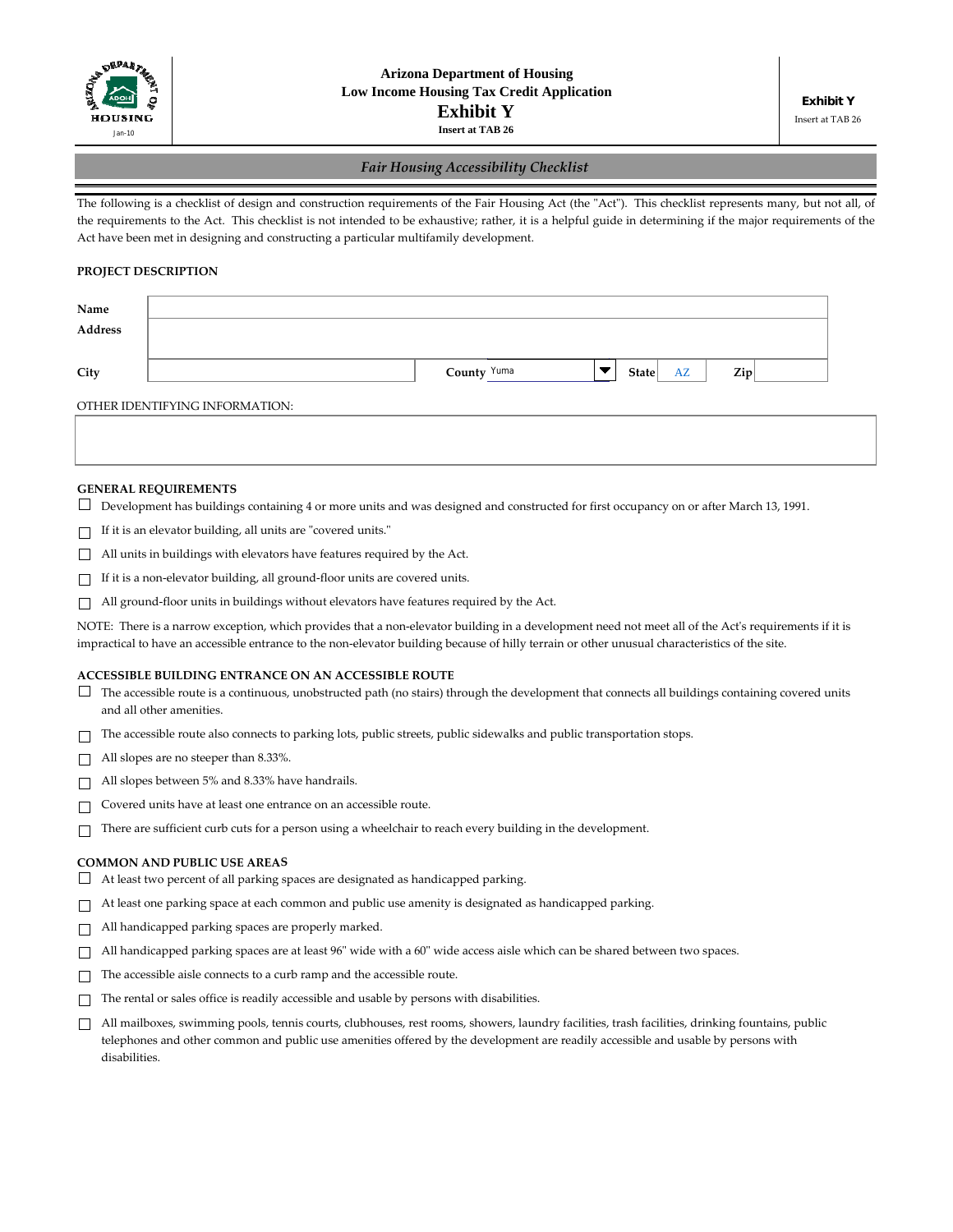

## *Fair Housing Accessibility Checklist*

The following is a checklist of design and construction requirements of the Fair Housing Act (the "Act"). This checklist represents many, but not all, of the requirements to the Act. This checklist is not intended to be exhaustive; rather, it is a helpful guide in determining if the major requirements of the Act have been met in designing and constructing a particular multifamily development.

## **PROJECT DESCRIPTION**

| Name    |                                  |           |  |
|---------|----------------------------------|-----------|--|
| Address |                                  |           |  |
|         |                                  |           |  |
| City    | County Yuma<br><b>State</b><br>v | Zip<br>AZ |  |
|         |                                  |           |  |

OTHER IDENTIFYING INFORMATION:

#### **GENERAL REQUIREMENTS**

- Development has buildings containing 4 or more units and was designed and constructed for first occupancy on or after March 13, 1991.
- $\Box$  If it is an elevator building, all units are "covered units."
- All units in buildings with elevators have features required by the Act.
- If it is a non‐elevator building, all ground‐floor units are covered units.
- $\Box$  All ground-floor units in buildings without elevators have features required by the Act.

NOTE: There is a narrow exception, which provides that a non-elevator building in a development need not meet all of the Act's requirements if it is impractical to have an accessible entrance to the non‐elevator building because of hilly terrain or other unusual characteristics of the site.

#### **ACCESSIBLE BUILDING ENTRANCE ON AN ACCESSIBLE ROUTE**

- $\Box$  The accessible route is a continuous, unobstructed path (no stairs) through the development that connects all buildings containing covered units and all other amenities.
- $\Box$  The accessible route also connects to parking lots, public streets, public sidewalks and public transportation stops.
- All slopes are no steeper than 8.33%.
- All slopes between 5% and 8.33% have handrails.
- $\Box$ Covered units have at least one entrance on an accessible route.
- $\Box$  There are sufficient curb cuts for a person using a wheelchair to reach every building in the development.

#### **COMMON AND PUBLIC USE AREAS**

- $\Box$  At least two percent of all parking spaces are designated as handicapped parking.
- At least one parking space at each common and public use amenity is designated as handicapped parking.
- $\Box$  All handicapped parking spaces are properly marked.
- $\Box$  All handicapped parking spaces are at least 96" wide with a 60" wide access aisle which can be shared between two spaces.
- $\Box$  The accessible aisle connects to a curb ramp and the accessible route.
- $\Box$  The rental or sales office is readily accessible and usable by persons with disabilities.
- $\Box$  All mailboxes, swimming pools, tennis courts, clubhouses, rest rooms, showers, laundry facilities, trash facilities, drinking fountains, public telephones and other common and public use amenities offered by the development are readily accessible and usable by persons with disabilities.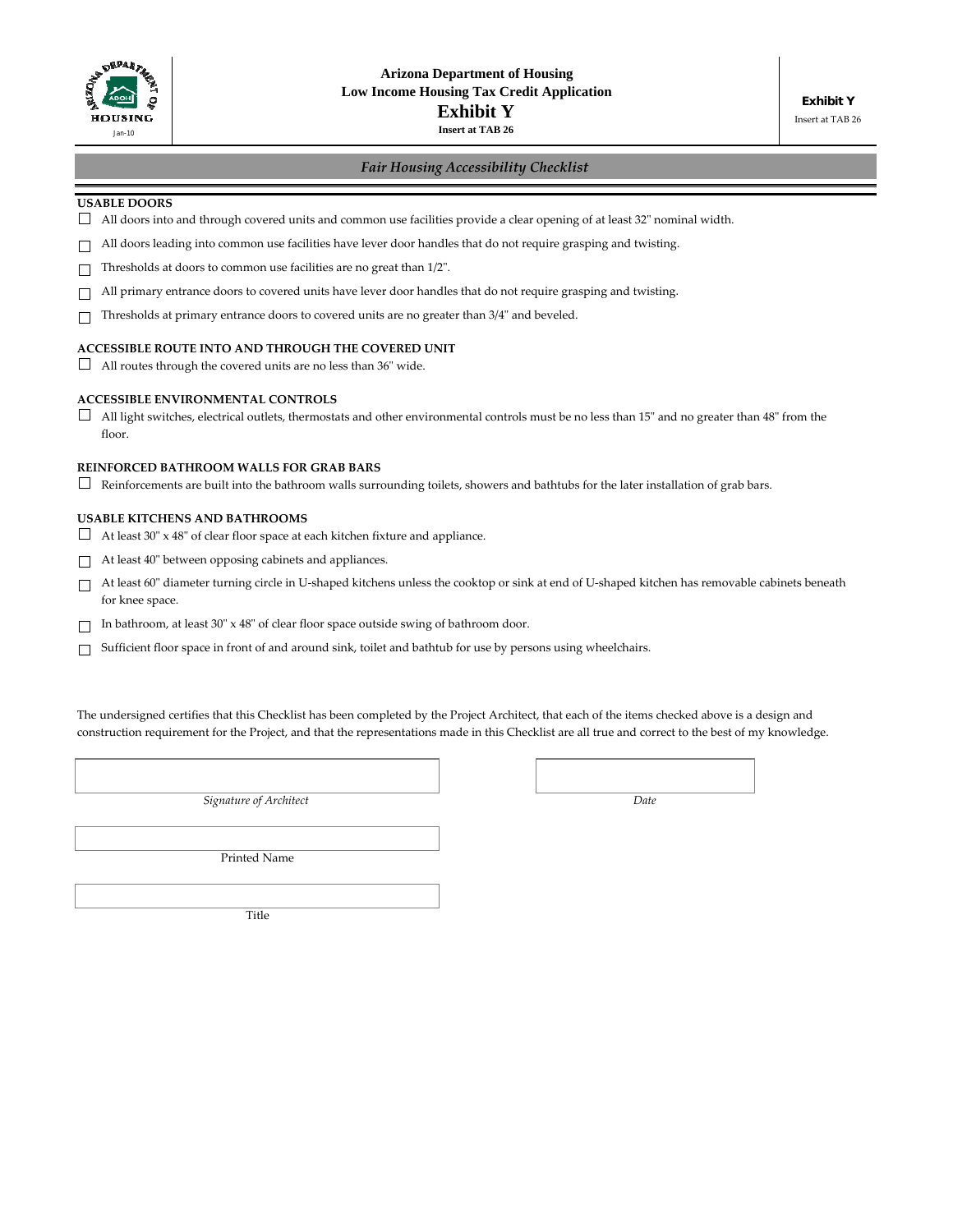

# *Fair Housing Accessibility Checklist*

#### **USABLE DOORS**

- $\Box$  All doors into and through covered units and common use facilities provide a clear opening of at least 32" nominal width.
- $\Box$  All doors leading into common use facilities have lever door handles that do not require grasping and twisting.
- $\Box$  Thresholds at doors to common use facilities are no great than 1/2".
- $\Box$ All primary entrance doors to covered units have lever door handles that do not require grasping and twisting.
- $\Box$  Thresholds at primary entrance doors to covered units are no greater than 3/4" and beveled.

# **ACCESSIBLE ROUTE INTO AND THROUGH THE COVERED UNIT**

 $\Box$  All routes through the covered units are no less than 36" wide.

#### **ACCESSIBLE ENVIRONMENTAL CONTROLS**

 $\Box$  All light switches, electrical outlets, thermostats and other environmental controls must be no less than 15" and no greater than 48" from the floor.

#### **REINFORCED BATHROOM WALLS FOR GRAB BARS**

 $\Box$  Reinforcements are built into the bathroom walls surrounding toilets, showers and bathtubs for the later installation of grab bars.

#### **USABLE KITCHENS AND BATHROOMS**

 $\Box$  At least 30" x 48" of clear floor space at each kitchen fixture and appliance.

 $\Box$  At least 40" between opposing cabinets and appliances.

- At least 60ʺ diameter turning circle in U‐shaped kitchens unless the cooktop or sink at end of U‐shaped kitchen has removable cabinets beneath for knee space.
- $\Box$  In bathroom, at least 30" x 48" of clear floor space outside swing of bathroom door.
- Sufficient floor space in front of and around sink, toilet and bathtub for use by persons using wheelchairs.

The undersigned certifies that this Checklist has been completed by the Project Architect, that each of the items checked above is a design and construction requirement for the Project, and that the representations made in this Checklist are all true and correct to the best of my knowledge.

*Signature of Architect Date*

Printed Name

Title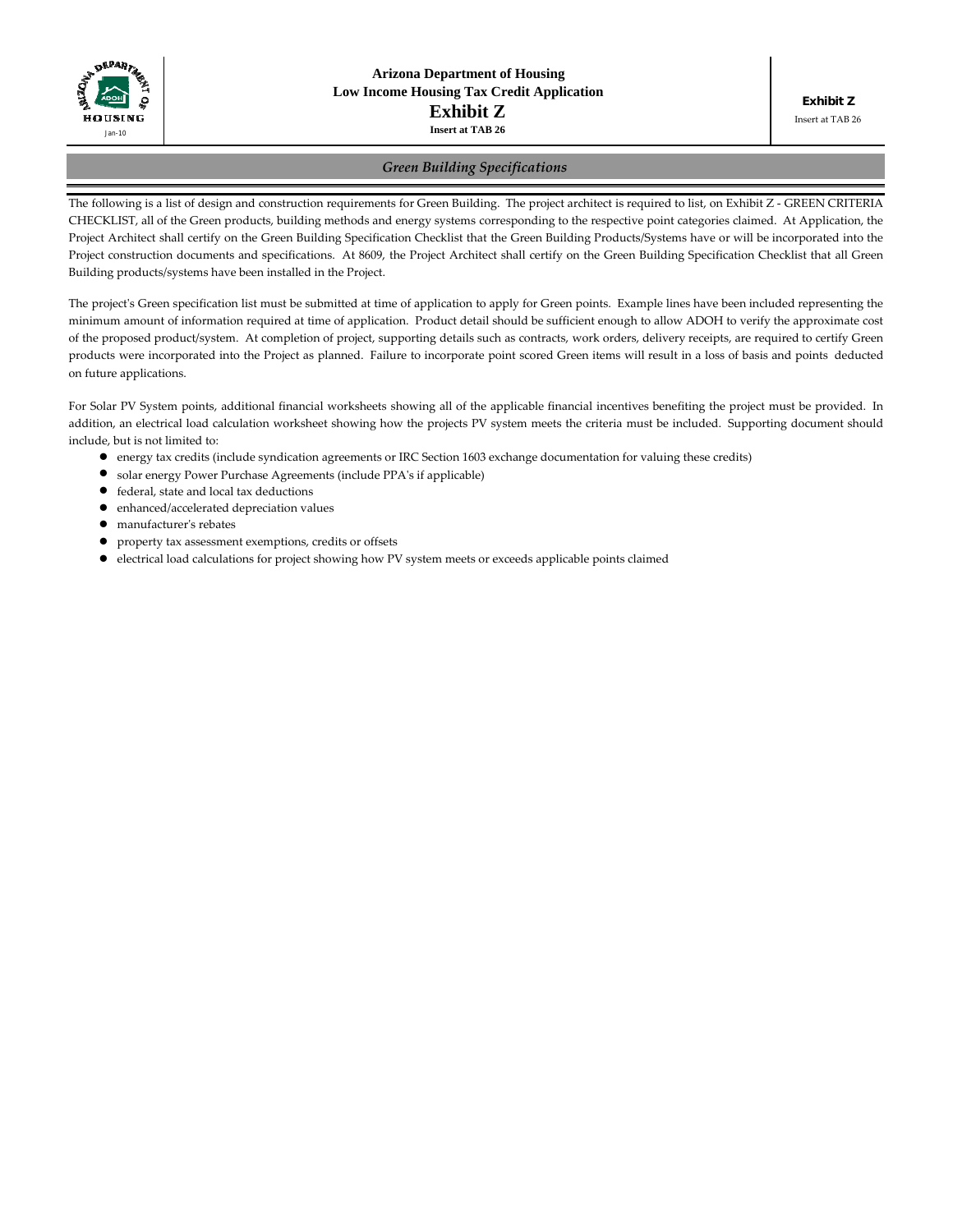

Insert at TAB 26

## *Green Building Specifications*

The following is a list of design and construction requirements for Green Building. The project architect is required to list, on Exhibit Z - GREEN CRITERIA CHECKLIST, all of the Green products, building methods and energy systems corresponding to the respective point categories claimed. At Application, the Project Architect shall certify on the Green Building Specification Checklist that the Green Building Products/Systems have or will be incorporated into the Project construction documents and specifications. At 8609, the Project Architect shall certify on the Green Building Specification Checklist that all Green Building products/systems have been installed in the Project.

The project's Green specification list must be submitted at time of application to apply for Green points. Example lines have been included representing the minimum amount of information required at time of application. Product detail should be sufficient enough to allow ADOH to verify the approximate cost of the proposed product/system. At completion of project, supporting details such as contracts, work orders, delivery receipts, are required to certify Green products were incorporated into the Project as planned. Failure to incorporate point scored Green items will result in a loss of basis and points deducted on future applications.

For Solar PV System points, additional financial worksheets showing all of the applicable financial incentives benefiting the project must be provided. In addition, an electrical load calculation worksheet showing how the projects PV system meets the criteria must be included. Supporting document should include, but is not limited to:

- energy tax credits (include syndication agreements or IRC Section 1603 exchange documentation for valuing these credits)
- solar energy Power Purchase Agreements (include PPA's if applicable)
- $\bullet$  federal, state and local tax deductions
- $\bullet$  enhanced/accelerated depreciation values
- manufacturer's rebates
- $\bullet$  property tax assessment exemptions, credits or offsets
- electrical load calculations for project showing how PV system meets or exceeds applicable points claimed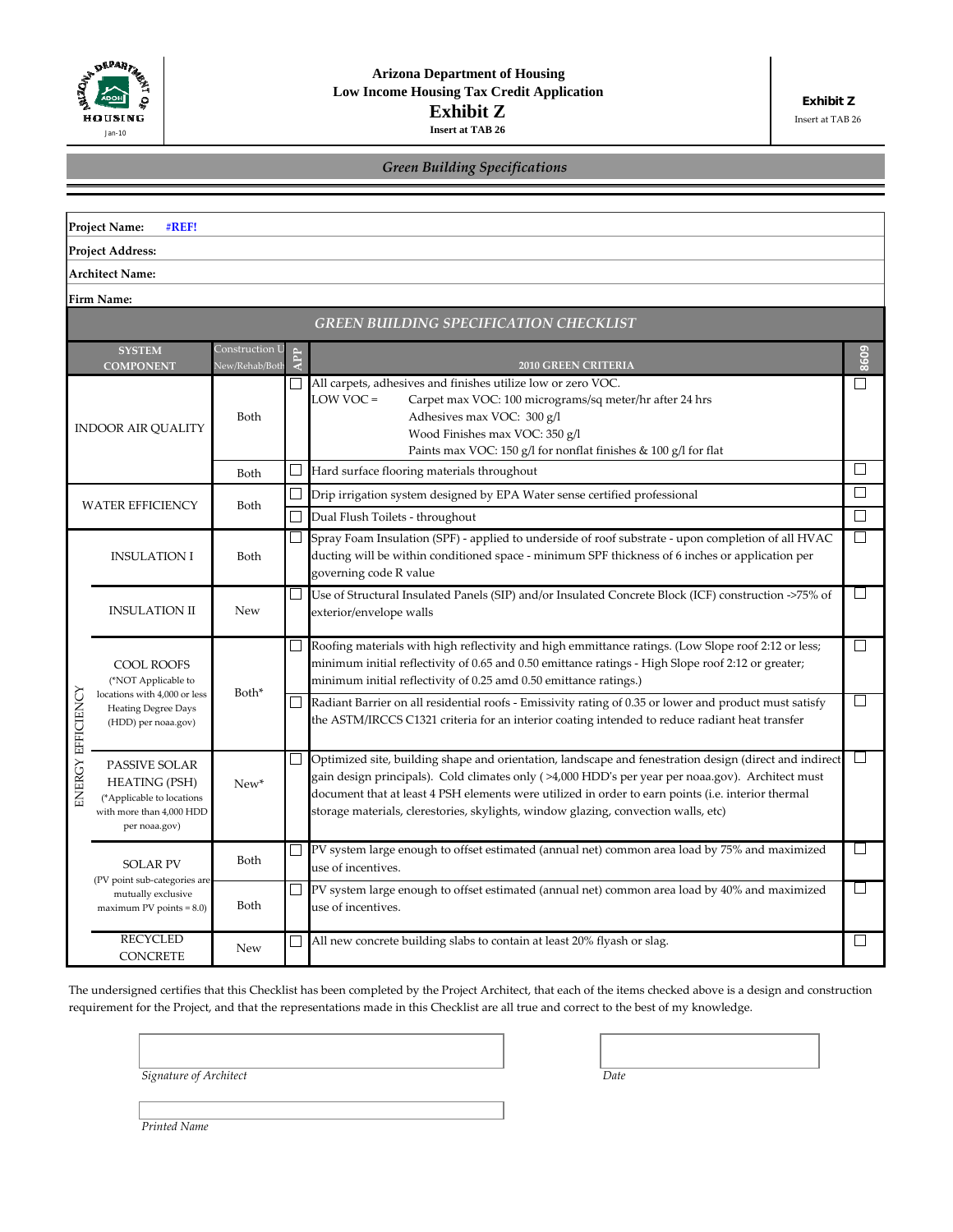

Insert at TAB 26

| <b>Green Building Specifications</b> |  |  |  |
|--------------------------------------|--|--|--|
|                                      |  |  |  |

|                           | <b>Project Name:</b><br>#REF!                                                                                   |                                  |                                                                                                                                                                                                       |                                                                                                                                                                                                                                                                                                                                                                                                        |                          |  |
|---------------------------|-----------------------------------------------------------------------------------------------------------------|----------------------------------|-------------------------------------------------------------------------------------------------------------------------------------------------------------------------------------------------------|--------------------------------------------------------------------------------------------------------------------------------------------------------------------------------------------------------------------------------------------------------------------------------------------------------------------------------------------------------------------------------------------------------|--------------------------|--|
|                           | <b>Project Address:</b>                                                                                         |                                  |                                                                                                                                                                                                       |                                                                                                                                                                                                                                                                                                                                                                                                        |                          |  |
|                           | Architect Name:                                                                                                 |                                  |                                                                                                                                                                                                       |                                                                                                                                                                                                                                                                                                                                                                                                        |                          |  |
|                           | Firm Name:                                                                                                      |                                  |                                                                                                                                                                                                       |                                                                                                                                                                                                                                                                                                                                                                                                        |                          |  |
|                           |                                                                                                                 |                                  |                                                                                                                                                                                                       | GREEN BUILDING SPECIFICATION CHECKLIST                                                                                                                                                                                                                                                                                                                                                                 |                          |  |
|                           | <b>SYSTEM</b><br><b>COMPONENT</b>                                                                               | Construction l<br>New/Rehab/Both | <b>APP</b>                                                                                                                                                                                            | <b>2010 GREEN CRITERIA</b>                                                                                                                                                                                                                                                                                                                                                                             | 8609                     |  |
| <b>INDOOR AIR QUALITY</b> |                                                                                                                 | Both                             |                                                                                                                                                                                                       | All carpets, adhesives and finishes utilize low or zero VOC.<br>LOW VOC =<br>Carpet max VOC: 100 micrograms/sq meter/hr after 24 hrs<br>Adhesives max VOC: 300 g/l<br>Wood Finishes max VOC: 350 g/l<br>Paints max VOC: 150 $g/l$ for nonflat finishes & 100 $g/l$ for flat                                                                                                                            | П                        |  |
|                           |                                                                                                                 | Both                             |                                                                                                                                                                                                       | Hard surface flooring materials throughout                                                                                                                                                                                                                                                                                                                                                             | $\Box$                   |  |
|                           | <b>WATER EFFICIENCY</b>                                                                                         | Both                             |                                                                                                                                                                                                       | Drip irrigation system designed by EPA Water sense certified professional                                                                                                                                                                                                                                                                                                                              | П                        |  |
|                           |                                                                                                                 |                                  |                                                                                                                                                                                                       | Dual Flush Toilets - throughout                                                                                                                                                                                                                                                                                                                                                                        | $\vert \ \ \vert$        |  |
|                           | <b>INSULATION I</b><br>Both<br>governing code R value                                                           |                                  | Spray Foam Insulation (SPF) - applied to underside of roof substrate - upon completion of all HVAC<br>ducting will be within conditioned space - minimum SPF thickness of 6 inches or application per | $\Box$                                                                                                                                                                                                                                                                                                                                                                                                 |                          |  |
|                           | <b>INSULATION II</b>                                                                                            | <b>New</b>                       | ⊔                                                                                                                                                                                                     | Use of Structural Insulated Panels (SIP) and/or Insulated Concrete Block (ICF) construction ->75% of<br>exterior/envelope walls                                                                                                                                                                                                                                                                        |                          |  |
|                           | <b>COOL ROOFS</b><br>(*NOT Applicable to                                                                        |                                  |                                                                                                                                                                                                       | Roofing materials with high reflectivity and high emmittance ratings. (Low Slope roof 2:12 or less;<br>minimum initial reflectivity of 0.65 and 0.50 emittance ratings - High Slope roof 2:12 or greater;<br>minimum initial reflectivity of 0.25 amd 0.50 emittance ratings.)                                                                                                                         | $\Box$                   |  |
|                           | locations with 4,000 or less<br><b>Heating Degree Days</b><br>(HDD) per noaa.gov)                               | Both*                            |                                                                                                                                                                                                       | Radiant Barrier on all residential roofs - Emissivity rating of 0.35 or lower and product must satisfy<br>the ASTM/IRCCS C1321 criteria for an interior coating intended to reduce radiant heat transfer                                                                                                                                                                                               | $\mathbf{L}$             |  |
| <b>INERGY EFFICIENCY</b>  | PASSIVE SOLAR<br><b>HEATING (PSH)</b><br>(*Applicable to locations<br>with more than 4,000 HDD<br>per noaa.gov) | New*                             |                                                                                                                                                                                                       | Optimized site, building shape and orientation, landscape and fenestration design (direct and indirect<br>gain design principals). Cold climates only (>4,000 HDD's per year per noaa.gov). Architect must<br>document that at least 4 PSH elements were utilized in order to earn points (i.e. interior thermal<br>storage materials, clerestories, skylights, window glazing, convection walls, etc) | $\Box$                   |  |
|                           | <b>SOLAR PV</b>                                                                                                 | Both                             |                                                                                                                                                                                                       | PV system large enough to offset estimated (annual net) common area load by 75% and maximized<br>use of incentives.                                                                                                                                                                                                                                                                                    | $\vert \ \ \vert$        |  |
|                           | (PV point sub-categories are<br>mutually exclusive<br>$maximum PV points = 8.0$                                 | Both                             |                                                                                                                                                                                                       | PV system large enough to offset estimated (annual net) common area load by 40% and maximized<br>use of incentives.                                                                                                                                                                                                                                                                                    | $\overline{\phantom{a}}$ |  |
|                           | <b>RECYCLED</b><br><b>CONCRETE</b>                                                                              | <b>New</b>                       |                                                                                                                                                                                                       | All new concrete building slabs to contain at least 20% flyash or slag.                                                                                                                                                                                                                                                                                                                                | $\Box$                   |  |

The undersigned certifies that this Checklist has been completed by the Project Architect, that each of the items checked above is a design and construction requirement for the Project, and that the representations made in this Checklist are all true and correct to the best of my knowledge.

*Signature of Architect Date*

*Printed Name*